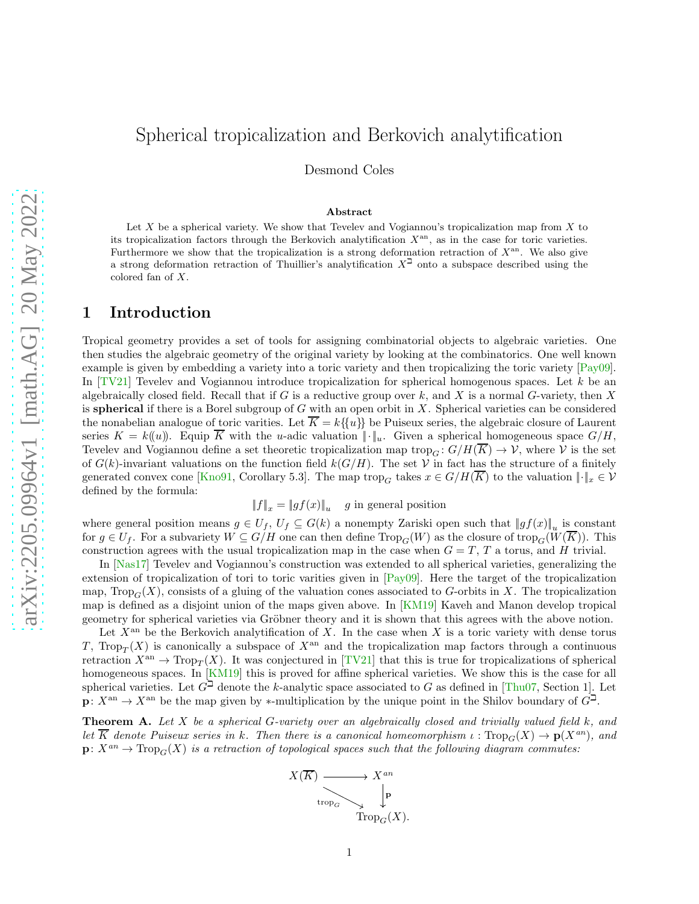# Spherical tropicalization and Berkovich analytification

Desmond Coles

#### Abstract

Let  $X$  be a spherical variety. We show that Tevelev and Vogiannou's tropicalization map from  $X$  to its tropicalization factors through the Berkovich analytification  $X^{an}$ , as in the case for toric varieties. Furthermore we show that the tropicalization is a strong deformation retraction of  $X^{\text{an}}$ . We also give a strong deformation retraction of Thuillier's analytification  $X^{\beth}$  onto a subspace described using the colored fan of X.

# 1 Introduction

Tropical geometry provides a set of tools for assigning combinatorial objects to algebraic varieties. One then studies the algebraic geometry of the original variety by looking at the combinatorics. One well known example is given by embedding a variety into a toric variety and then tropicalizing the toric variety  $[Pa<sub>V</sub>09]$ . In  $[TV21]$  Tevelev and Vogiannou introduce tropicalization for spherical homogenous spaces. Let k be an algebraically closed field. Recall that if G is a reductive group over  $k$ , and X is a normal G-variety, then X is spherical if there is a Borel subgroup of  $G$  with an open orbit in  $X$ . Spherical varieties can be considered the nonabelian analogue of toric varities. Let  $\overline{K} = k\{u\}$  be Puiseux series, the algebraic closure of Laurent series  $K = k(u)$ . Equip  $\overline{K}$  with the u-adic valuation  $\|\cdot\|_u$ . Given a spherical homogeneous space  $G/H$ , Tevelev and Vogiannou define a set theoretic tropicalization map trop<sub>G</sub>:  $G/H(\overline{K}) \to V$ , where V is the set of  $G(k)$ -invariant valuations on the function field  $k(G/H)$ . The set V in fact has the structure of a finitely generated convex cone [\[Kno91,](#page-17-0) Corollary 5.3]. The map trop<sub>G</sub> takes  $x \in G/H(\overline{K})$  to the valuation  $\| \cdot \|_x \in V$ defined by the formula:

 $||f||_x = ||gf(x)||_u$  g in general position

where general position means  $g \in U_f$ ,  $U_f \subseteq G(k)$  a nonempty Zariski open such that  $||gf(x)||_u$  is constant for  $g \in U_f$ . For a subvariety  $W \subseteq G/H$  one can then define  $\text{Top}_G(W)$  as the closure of  $\text{trop}_G(W(\overline{K}))$ . This construction agrees with the usual tropicalization map in the case when  $G = T$ , T a torus, and H trivial.

In [\[Nas17\]](#page-17-1) Tevelev and Vogiannou's construction was extended to all spherical varieties, generalizing the extension of tropicalization of tori to toric varities given in [\[Pay09\]](#page-18-0). Here the target of the tropicalization map,  $\text{Top}_{G}(X)$ , consists of a gluing of the valuation cones associated to G-orbits in X. The tropicalization map is defined as a disjoint union of the maps given above. In [\[KM19](#page-17-2)] Kaveh and Manon develop tropical geometry for spherical varieties via Gröbner theory and it is shown that this agrees with the above notion.

Let  $X<sup>an</sup>$  be the Berkovich analytification of X. In the case when X is a toric variety with dense torus T, Trop<sub>T</sub>(X) is canonically a subspace of  $X^{\text{an}}$  and the tropicalization map factors through a continuous retraction  $X^{\text{an}} \to \text{Top}_T(X)$ . It was conjectured in [\[TV21](#page-18-1)] that this is true for tropicalizations of spherical homogeneous spaces. In [\[KM19\]](#page-17-2) this is proved for affine spherical varieties. We show this is the case for all spherical varieties. Let  $G^{\beth}$  denote the k-analytic space associated to G as defined in [\[Thu07](#page-18-2), Section 1]. Let  $p: X^{an} \to X^{an}$  be the map given by \*-multiplication by the unique point in the Shilov boundary of  $G^{\square}$ .

<span id="page-0-0"></span>Theorem A. *Let* X *be a spherical* G*-variety over an algebraically closed and trivially valued field* k*, and let*  $\overline{K}$  *denote Puiseux series in* k. Then there is a canonical homeomorphism  $\iota$  : Trop<sub>G</sub>(X)  $\rightarrow$  p(X<sup>an</sup>), and  $\mathbf{p}: X^{an} \to \text{Top}_G(X)$  *is a retraction of topological spaces such that the following diagram commutes:* 

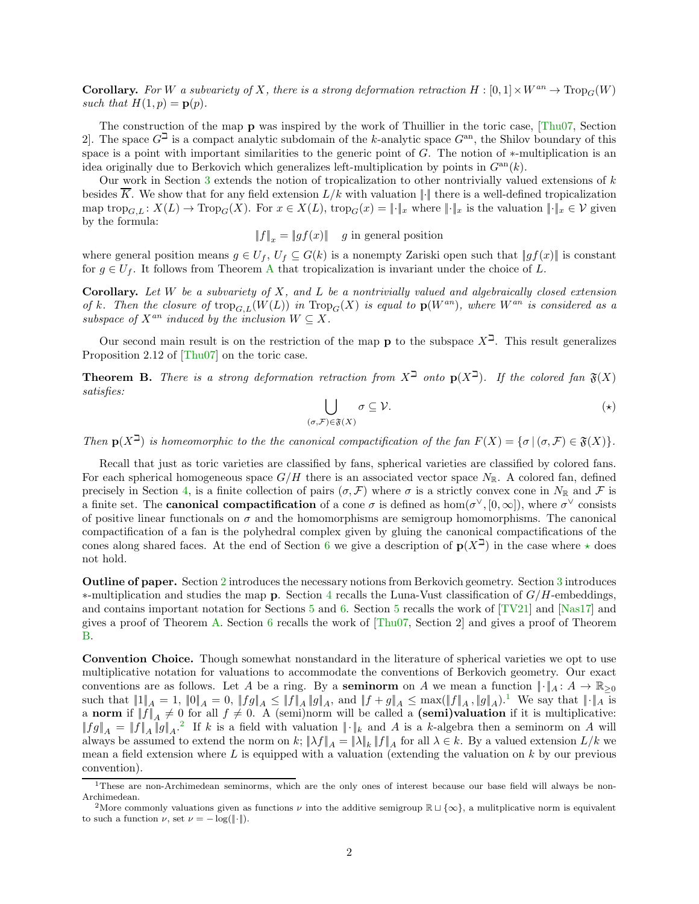**Corollary.** For W a subvariety of X, there is a strong deformation retraction  $H : [0, 1] \times W^{an} \to \text{Top}_{C}(W)$ such that  $H(1, p) = p(p)$ .

The construction of the map **p** was inspired by the work of Thuillier in the toric case,  $[Thu07, Section$ 2. The space  $G^{\square}$  is a compact analytic subdomain of the k-analytic space  $G^{\text{an}}$ , the Shilov boundary of this space is a point with important similarities to the generic point of  $G$ . The notion of  $\ast$ -multiplication is an idea originally due to Berkovich which generalizes left-multiplication by points in  $G^{an}(k)$ .

Our work in Section [3](#page-3-0) extends the notion of tropicalization to other nontrivially valued extensions of  $k$ besides  $\overline{K}$ . We show that for any field extension  $L/k$  with valuation  $\|\cdot\|$  there is a well-defined tropicalization map trop<sub>G,L</sub>:  $X(L) \to \text{Trop}_G(X)$ . For  $x \in X(L)$ , trop $_G(x) = ||\cdot||_x$  where  $||\cdot||_x$  is the valuation  $||\cdot||_x \in V$  given by the formula:

 $||f||_x = ||gf(x)||$  g in general position

where general position means  $g \in U_f$ ,  $U_f \subseteq G(k)$  is a nonempty Zariski open such that  $||gf(x)||$  is constant for  $g \in U_f$ . It follows from Theorem [A](#page-0-0) that tropicalization is invariant under the choice of L.

Corollary. *Let* W *be a subvariety of* X*, and* L *be a nontrivially valued and algebraically closed extension of* k. Then the closure of  $\text{trop}_{G,L}(W(L))$  *in*  $\text{Top}_G(X)$  *is equal to*  $p(W^{an})$ *, where*  $W^{an}$  *is considered as a subspace of*  $X^{an}$  *induced by the inclusion*  $W \subseteq X$ *.* 

Our second main result is on the restriction of the map **p** to the subspace  $X^{\mathsf{I}}$ . This result generalizes Proposition 2.12 of [\[Thu07\]](#page-18-2) on the toric case.

<span id="page-1-1"></span>**Theorem B.** *There is a strong deformation retraction from*  $X^{\square}$  *onto*  $p(X^{\square})$ *. If the colored fan*  $\mathfrak{F}(X)$ *satisfies:*

<span id="page-1-0"></span>
$$
\bigcup_{(\sigma,\mathcal{F}) \in \mathfrak{F}(X)} \sigma \subseteq \mathcal{V}.\tag{\star}
$$

*Then*  $p(X^{\exists})$  *is homeomorphic to the the canonical compactification of the fan*  $F(X) = \{\sigma | (\sigma, \mathcal{F}) \in \mathfrak{F}(X)\}$ .

Recall that just as toric varieties are classified by fans, spherical varieties are classified by colored fans. For each spherical homogeneous space  $G/H$  there is an associated vector space  $N_{\mathbb{R}}$ . A colored fan, defined precisely in Section [4,](#page-8-0) is a finite collection of pairs  $(\sigma, \mathcal{F})$  where  $\sigma$  is a strictly convex cone in  $N_{\mathbb{R}}$  and  $\mathcal{F}$  is a finite set. The **canonical compactification** of a cone  $\sigma$  is defined as  $hom(\sigma^{\vee}, [0, \infty])$ , where  $\sigma^{\vee}$  consists of positive linear functionals on  $\sigma$  and the homomorphisms are semigroup homomorphisms. The canonical compactification of a fan is the polyhedral complex given by gluing the canonical compactifications of the cones along shared faces. At the end of Section [6](#page-14-0) we give a description of  $p(X^{\beth})$  in the case where  $\star$  does not hold.

Outline of paper. Section [2](#page-2-0) introduces the necessary notions from Berkovich geometry. Section [3](#page-3-0) introduces  $*$ -multiplication and studies the map p. Section [4](#page-8-0) recalls the Luna-Vust classification of  $G/H$ -embeddings, and contains important notation for Sections [5](#page-11-0) and [6.](#page-14-0) Section [5](#page-11-0) recalls the work of [\[TV21\]](#page-18-1) and [\[Nas17\]](#page-17-1) and gives a proof of Theorem [A.](#page-0-0) Section [6](#page-14-0) recalls the work of [\[Thu07,](#page-18-2) Section 2] and gives a proof of Theorem [B.](#page-1-1)

Convention Choice. Though somewhat nonstandard in the literature of spherical varieties we opt to use multiplicative notation for valuations to accommodate the conventions of Berkovich geometry. Our exact conventions are as follows. Let A be a ring. By a **seminorm** on A we mean a function  $\|\cdot\|_A: A \to \mathbb{R}_{\geq 0}$ such that  $||1||_A = 1$  $||1||_A = 1$  $||1||_A = 1$ ,  $||0||_A = 0$ ,  $||fg||_A \le ||f||_A ||g||_A$ , and  $||f + g||_A \le \max(||f||_A, ||g||_A)$ .<sup>1</sup> We say that  $|| \cdot ||_A$  is a norm if  $||f||_A \neq 0$  for all  $f \neq 0$ . A (semi)norm will be called a (semi)valuation if it is multiplicative:  $||fg||_A = ||f||_A ||g||_A$ <sup>[2](#page-1-3)</sup> If k is a field with valuation  $||\cdot||_k$  and A is a k-algebra then a seminorm on A will always be assumed to extend the norm on k;  $\|\lambda f\|_A = \|\lambda\|_k \|f\|_A$  for all  $\lambda \in k$ . By a valued extension  $L/k$  we mean a field extension where  $L$  is equipped with a valuation (extending the valuation on  $k$  by our previous convention).

<span id="page-1-2"></span><sup>&</sup>lt;sup>1</sup>These are non-Archimedean seminorms, which are the only ones of interest because our base field will always be non-Archimedean.

<span id="page-1-3"></span><sup>&</sup>lt;sup>2</sup>More commonly valuations given as functions  $\nu$  into the additive semigroup  $\mathbb{R} \cup {\infty}$ , a mulitplicative norm is equivalent to such a function  $\nu$ , set  $\nu = -\log(\|\cdot\|)$ .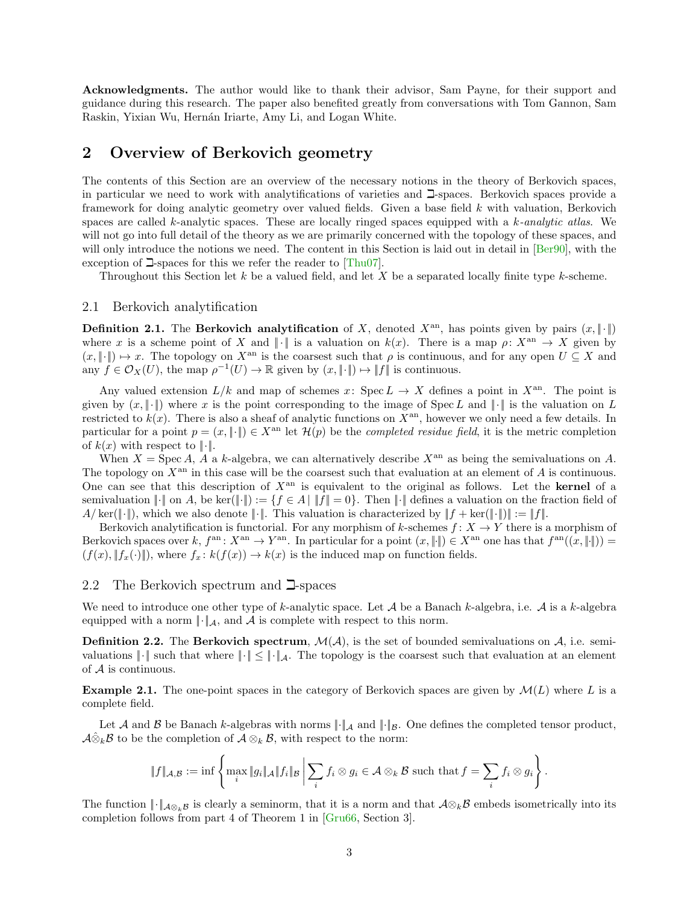Acknowledgments. The author would like to thank their advisor, Sam Payne, for their support and guidance during this research. The paper also benefited greatly from conversations with Tom Gannon, Sam Raskin, Yixian Wu, Hernán Iriarte, Amy Li, and Logan White.

# <span id="page-2-0"></span>2 Overview of Berkovich geometry

The contents of this Section are an overview of the necessary notions in the theory of Berkovich spaces, in particular we need to work with analytifications of varieties and  $\Box$ -spaces. Berkovich spaces provide a framework for doing analytic geometry over valued fields. Given a base field k with valuation, Berkovich spaces are called k-analytic spaces. These are locally ringed spaces equipped with a k*-analytic atlas*. We will not go into full detail of the theory as we are primarily concerned with the topology of these spaces, and will only introduce the notions we need. The content in this Section is laid out in detail in  $\text{[Ber90]}$ , with the exception of  $\Box$ -spaces for this we refer the reader to [\[Thu07](#page-18-2)].

Throughout this Section let  $k$  be a valued field, and let  $X$  be a separated locally finite type  $k$ -scheme.

### 2.1 Berkovich analytification

**Definition 2.1.** The **Berkovich analytification** of X, denoted  $X^{an}$ , has points given by pairs  $(x, \|\cdot\|)$ where x is a scheme point of X and || is a valuation on  $k(x)$ . There is a map  $\rho: X^{an} \to X$  given by  $(x, \|\cdot\|) \to x$ . The topology on  $X^{\text{an}}$  is the coarsest such that  $\rho$  is continuous, and for any open  $U \subseteq X$  and any  $f \in \mathcal{O}_X(U)$ , the map  $\rho^{-1}(U) \to \mathbb{R}$  given by  $(x, \|\cdot\|) \mapsto \|f\|$  is continuous.

Any valued extension  $L/k$  and map of schemes x: Spec  $L \to X$  defines a point in  $X^{\text{an}}$ . The point is given by  $(x, \|\cdot\|)$  where x is the point corresponding to the image of Spec L and  $\|\cdot\|$  is the valuation on L restricted to  $k(x)$ . There is also a sheaf of analytic functions on  $X^{an}$ , however we only need a few details. In particular for a point  $p = (x, \|\cdot\|) \in X^{\text{an}}$  let  $\mathcal{H}(p)$  be the *completed residue field*, it is the metric completion of  $k(x)$  with respect to  $\|\cdot\|$ .

When  $X = \text{Spec } A$ ,  $\hat{A}$  a k-algebra, we can alternatively describe  $X^{\text{an}}$  as being the semivaluations on A. The topology on  $X^{\text{an}}$  in this case will be the coarsest such that evaluation at an element of A is continuous. One can see that this description of  $X<sup>an</sup>$  is equivalent to the original as follows. Let the **kernel** of a semivaluation || on A, be ker $(\|\cdot\|):=\{f\in A\mid \|f\|=0\}$ . Then  $\|\cdot\|$  defines a valuation on the fraction field of  $A/\ker(\lVert \cdot \rVert)$ , which we also denote  $\lVert \cdot \rVert$ . This valuation is characterized by  $\lVert f + \ker(\lVert \cdot \rVert) \rVert := \lVert f \rVert$ .

Berkovich analytification is functorial. For any morphism of k-schemes  $f: X \to Y$  there is a morphism of Berkovich spaces over k,  $f^{\text{an}}: X^{\text{an}} \to Y^{\text{an}}$ . In particular for a point  $(x, \|\cdot\|) \in X^{\text{an}}$  one has that  $f^{\text{an}}((x, \|\cdot\|)) =$  $(f(x), ||f_x(\cdot)||)$ , where  $f_x: k(f(x)) \to k(x)$  is the induced map on function fields.

# <span id="page-2-1"></span>2.2 The Berkovich spectrum and  $\Box$ -spaces

We need to introduce one other type of k-analytic space. Let  $A$  be a Banach k-algebra, i.e.  $A$  is a k-algebra equipped with a norm  $\lVert \cdot \rVert_A$ , and A is complete with respect to this norm.

**Definition 2.2.** The Berkovich spectrum,  $\mathcal{M}(\mathcal{A})$ , is the set of bounded semivaluations on  $\mathcal{A}$ , i.e. semivaluations  $\|\cdot\|$  such that where  $\|\cdot\| \leq \|\cdot\|_A$ . The topology is the coarsest such that evaluation at an element of  $A$  is continuous.

**Example 2.1.** The one-point spaces in the category of Berkovich spaces are given by  $\mathcal{M}(L)$  where L is a complete field.

Let A and B be Banach k-algebras with norms  $\|\cdot\|_A$  and  $\|\cdot\|_B$ . One defines the completed tensor product,  $\mathcal{A} \hat{\otimes}_k \mathcal{B}$  to be the completion of  $\mathcal{A} \otimes_k \mathcal{B}$ , with respect to the norm:

$$
\|f\|_{\mathcal{A},\mathcal{B}} := \inf \left\{ \max_{i} \|g_i\|_{\mathcal{A}} \|f_i\|_{\mathcal{B}} \, \bigg| \, \sum_i f_i \otimes g_i \in \mathcal{A} \otimes_k \mathcal{B} \text{ such that } f = \sum_i f_i \otimes g_i \right\}.
$$

The function  $\|\cdot\|_{\mathcal{A}\otimes_k\mathcal{B}}$  is clearly a seminorm, that it is a norm and that  $\mathcal{A}\otimes_k\mathcal{B}$  embeds isometrically into its completion follows from part 4 of Theorem 1 in [\[Gru66,](#page-17-4) Section 3].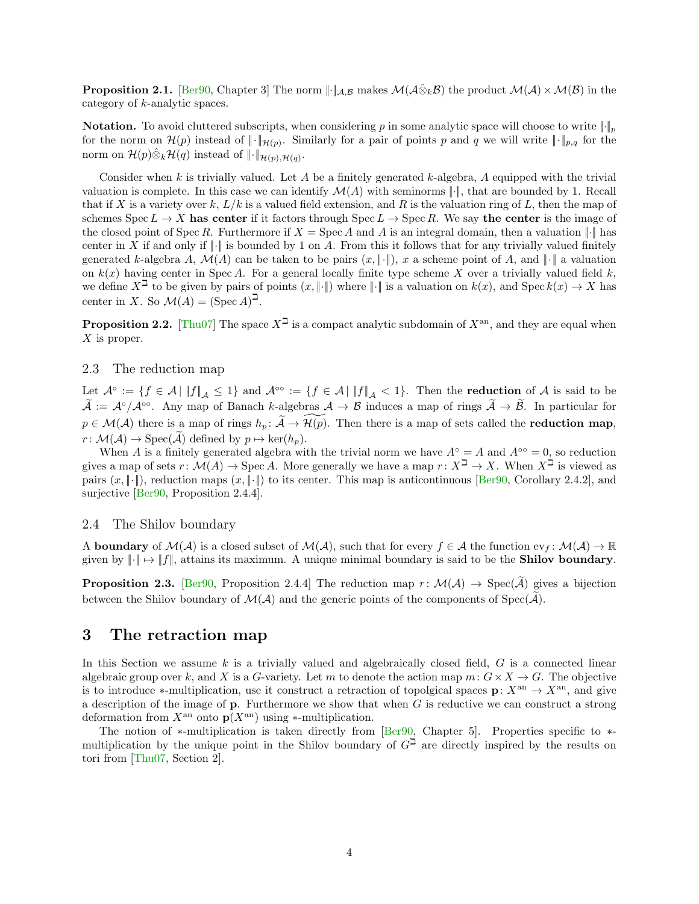**Proposition 2.1.** [\[Ber90](#page-17-3), Chapter 3] The norm  $\|\cdot\|_{A,B}$  makes  $\mathcal{M}(\mathcal{A}\hat{\otimes}_k\mathcal{B})$  the product  $\mathcal{M}(\mathcal{A})\times\mathcal{M}(\mathcal{B})$  in the category of k-analytic spaces.

**Notation.** To avoid cluttered subscripts, when considering p in some analytic space will choose to write  $\|\cdot\|_p$ for the norm on  $\mathcal{H}(p)$  instead of  $\|\cdot\|_{\mathcal{H}(p)}$ . Similarly for a pair of points p and q we will write  $\|\cdot\|_{p,q}$  for the norm on  $\mathcal{H}(p)\hat{\otimes}_k \mathcal{H}(q)$  instead of  $\|\cdot\|_{\mathcal{H}(p),\mathcal{H}(q)}$ .

Consider when k is trivially valued. Let A be a finitely generated k-algebra, A equipped with the trivial valuation is complete. In this case we can identify  $\mathcal{M}(A)$  with seminorms  $\|\cdot\|$ , that are bounded by 1. Recall that if X is a variety over k,  $L/k$  is a valued field extension, and R is the valuation ring of L, then the map of schemes Spec  $L \to X$  has center if it factors through Spec  $L \to \text{Spec } R$ . We say the center is the image of the closed point of Spec R. Furthermore if  $X = \text{Spec } A$  and A is an integral domain, then a valuation  $\|\cdot\|$  has center in X if and only if  $\|\cdot\|$  is bounded by 1 on A. From this it follows that for any trivially valued finitely generated k-algebra A,  $\mathcal{M}(A)$  can be taken to be pairs  $(x, \|\cdot\|)$ , x a scheme point of A, and  $\|\cdot\|$  a valuation on  $k(x)$  having center in Spec A. For a general locally finite type scheme X over a trivially valued field k, we define  $X^{\square}$  to be given by pairs of points  $(x, \|\cdot\|)$  where  $\|\cdot\|$  is a valuation on  $k(x)$ , and Spec  $k(x) \to X$  has center in X. So  $\mathcal{M}(A) = (\operatorname{Spec} A)^{\beth}$ .

**Proposition 2.2.** [\[Thu07\]](#page-18-2) The space  $X^{\beth}$  is a compact analytic subdomain of  $X^{an}$ , and they are equal when  $X$  is proper.

# 2.3 The reduction map

Let  $\mathcal{A}^{\circ} := \{f \in \mathcal{A} \mid ||f||_{\mathcal{A}} \leq 1\}$  and  $\mathcal{A}^{\circ\circ} := \{f \in \mathcal{A} \mid ||f||_{\mathcal{A}} < 1\}$ . Then the **reduction** of  $\mathcal{A}$  is said to be  $\widetilde{A} := \mathcal{A}^{\circ}/\mathcal{A}^{\circ\circ}$ . Any map of Banach k-algebras  $A \to \mathcal{B}$  induces a map of rings  $\widetilde{A} \to \widetilde{\mathcal{B}}$ . In particular for  $p \in \mathcal{M}(\mathcal{A})$  there is a map of rings  $h_p: \widetilde{\mathcal{A}} \to \widetilde{\mathcal{H}(p)}$ . Then there is a map of sets called the **reduction map**,  $r: \mathcal{M}(\mathcal{A}) \to \text{Spec}(\mathcal{A})$  defined by  $p \mapsto \text{ker}(h_p)$ .

When A is a finitely generated algebra with the trivial norm we have  $A^\circ = A$  and  $A^{\circ\circ} = 0$ , so reduction gives a map of sets  $r : \mathcal{M}(A) \to \text{Spec } A$ . More generally we have a map  $r : X^{\beth} \to X$ . When  $X^{\beth}$  is viewed as pairs  $(x, \|\cdot\|)$ , reduction maps  $(x, \|\cdot\|)$  to its center. This map is anticontinuous [\[Ber90,](#page-17-3) Corollary 2.4.2], and surjective [\[Ber90,](#page-17-3) Proposition 2.4.4].

# 2.4 The Shilov boundary

A **boundary** of  $\mathcal{M}(\mathcal{A})$  is a closed subset of  $\mathcal{M}(\mathcal{A})$ , such that for every  $f \in \mathcal{A}$  the function  $ev_f : \mathcal{M}(\mathcal{A}) \to \mathbb{R}$ given by  $\|\cdot\| \mapsto \|f\|$ , attains its maximum. A unique minimal boundary is said to be the **Shilov boundary**.

**Proposition 2.3.** [\[Ber90,](#page-17-3) Proposition 2.4.4] The reduction map  $r : \mathcal{M}(\mathcal{A}) \to \text{Spec}(\widetilde{\mathcal{A}})$  gives a bijection between the Shilov boundary of  $\mathcal{M}(\mathcal{A})$  and the generic points of the components of  $Spec(\tilde{\mathcal{A}})$ .

# <span id="page-3-0"></span>3 The retraction map

In this Section we assume  $k$  is a trivially valued and algebraically closed field,  $G$  is a connected linear algebraic group over k, and X is a G-variety. Let m to denote the action map  $m: G \times X \to G$ . The objective is to introduce \*-multiplication, use it construct a retraction of topolgical spaces  $\mathbf{p}: X^{\text{an}} \to X^{\text{an}}$ , and give a description of the image of  $\bf{p}$ . Furthermore we show that when G is reductive we can construct a strong deformation from  $X^{\text{an}}$  onto  $\mathbf{p}(X^{\text{an}})$  using ∗-multiplication.

The notion of ∗-multiplication is taken directly from [\[Ber90,](#page-17-3) Chapter 5]. Properties specific to ∗multiplication by the unique point in the Shilov boundary of  $G^{\square}$  are directly inspired by the results on tori from [\[Thu07](#page-18-2), Section 2].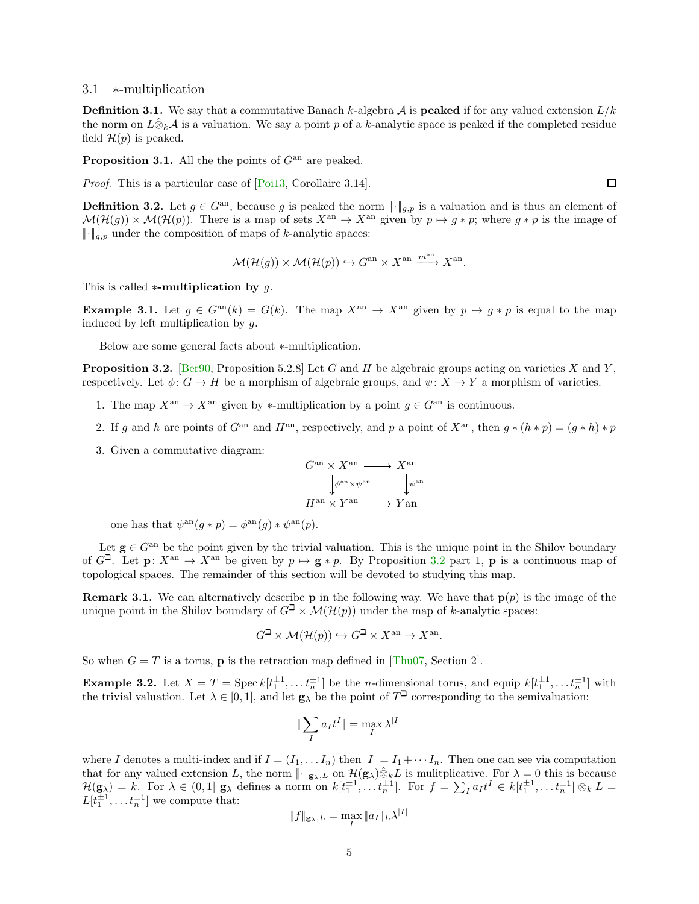### 3.1 ∗-multiplication

**Definition 3.1.** We say that a commutative Banach k-algebra  $\mathcal{A}$  is **peaked** if for any valued extension  $L/k$ the norm on  $L\hat{\otimes}_k\mathcal{A}$  is a valuation. We say a point p of a k-analytic space is peaked if the completed residue field  $\mathcal{H}(p)$  is peaked.

**Proposition 3.1.** All the the points of  $G<sup>an</sup>$  are peaked.

*Proof.* This is a particular case of [\[Poi13,](#page-18-3) Corollaire 3.14].

**Definition 3.2.** Let  $g \in G^{an}$ , because g is peaked the norm  $\|\cdot\|_{g,p}$  is a valuation and is thus an element of  $\mathcal{M}(\mathcal{H}(g)) \times \mathcal{M}(\mathcal{H}(p)).$  There is a map of sets  $X^{\text{an}} \to X^{\text{an}}$  given by  $p \mapsto g * p$ ; where  $g * p$  is the image of  $\lVert \cdot \rVert_{q,p}$  under the composition of maps of k-analytic spaces:

$$
\mathcal{M}(\mathcal{H}(g)) \times \mathcal{M}(\mathcal{H}(p)) \hookrightarrow G^{\text{an}} \times X^{\text{an}} \xrightarrow{m^{\text{an}}} X^{\text{an}}.
$$

This is called  $\ast$ -multiplication by g.

**Example 3.1.** Let  $q \in G^{an}(k) = G(k)$ . The map  $X^{an} \to X^{an}$  given by  $p \mapsto q * p$  is equal to the map induced by left multiplication by  $q$ .

Below are some general facts about ∗-multiplication.

<span id="page-4-0"></span>**Proposition 3.2.** [\[Ber90](#page-17-3), Proposition 5.2.8] Let G and H be algebraic groups acting on varieties X and Y, respectively. Let  $\phi: G \to H$  be a morphism of algebraic groups, and  $\psi: X \to Y$  a morphism of varieties.

- 1. The map  $X^{\text{an}} \to X^{\text{an}}$  given by \*-multiplication by a point  $q \in G^{\text{an}}$  is continuous.
- 2. If g and h are points of  $G^{an}$  and  $H^{an}$ , respectively, and p a point of  $X^{an}$ , then  $g * (h * p) = (g * h) * p$
- 3. Given a commutative diagram:

$$
G^{\rm an} \times X^{\rm an} \longrightarrow X^{\rm an} \n\downarrow_{\phi^{\rm an} \times \psi^{\rm an}} X^{\downarrow_{\phi^{\rm an}} \downarrow_{\phi^{\rm an}}}
$$
\n
$$
H^{\rm an} \times Y^{\rm an} \longrightarrow Y^{\rm an}
$$

one has that  $\psi^{\text{an}}(g * p) = \phi^{\text{an}}(g) * \psi^{\text{an}}(p)$ .

Let  $g \in G<sup>an</sup>$  be the point given by the trivial valuation. This is the unique point in the Shilov boundary of  $G^{\mathsf{I}}$ . Let  $\mathbf{p}: X^{\text{an}} \to X^{\text{an}}$  be given by  $p \mapsto \mathbf{g} * p$ . By Proposition [3.2](#page-4-0) part 1,  $\mathbf{p}$  is a continuous map of topological spaces. The remainder of this section will be devoted to studying this map.

**Remark 3.1.** We can alternatively describe **p** in the following way. We have that  $p(p)$  is the image of the unique point in the Shilov boundary of  $G^{\perp} \times \mathcal{M}(\mathcal{H}(p))$  under the map of k-analytic spaces:

$$
G^{\mathbb{Z}} \times \mathcal{M}(\mathcal{H}(p)) \hookrightarrow G^{\mathbb{Z}} \times X^{\mathrm{an}} \to X^{\mathrm{an}}.
$$

So when  $G = T$  is a torus, **p** is the retraction map defined in [\[Thu07,](#page-18-2) Section 2].

**Example 3.2.** Let  $X = T = \text{Spec } k[t_1^{\pm 1}, \ldots t_n^{\pm 1}]$  be the *n*-dimensional torus, and equip  $k[t_1^{\pm 1}, \ldots t_n^{\pm 1}]$  with the trivial valuation. Let  $\lambda \in [0,1]$ , and let  $\mathbf{g}_{\lambda}$  be the point of  $T^{\beth}$  corresponding to the semivaluation:

$$
\|\sum_{I} a_I t^I\| = \max_{I} \lambda^{|I|}
$$

where I denotes a multi-index and if  $I = (I_1, \ldots, I_n)$  then  $|I| = I_1 + \cdots + I_n$ . Then one can see via computation that for any valued extension L, the norm  $\|\cdot\|_{\mathbf{g}_{\lambda},L}$  on  $\mathcal{H}(\mathbf{g}_{\lambda})\hat{\otimes}_k L$  is mulitplicative. For  $\lambda = 0$  this is because  $\mathcal{H}(\mathbf{g}_{\lambda}) = k$ . For  $\lambda \in (0,1]$   $\mathbf{g}_{\lambda}$  defines a norm on  $k[t_1^{\pm 1}, \ldots t_n^{\pm 1}]$ . For  $f = \sum_I a_I t^I \in k[t_1^{\pm 1}, \ldots t_n^{\pm 1}] \otimes_k L =$  $L[t_1^{\pm 1}, \ldots t_n^{\pm 1}]$  we compute that:  $|\bar{I}|$ 

$$
\|f\|_{\mathbf{g}_{\lambda},L} = \max_{I} \|a_I\|_L \lambda^{|I|}
$$

□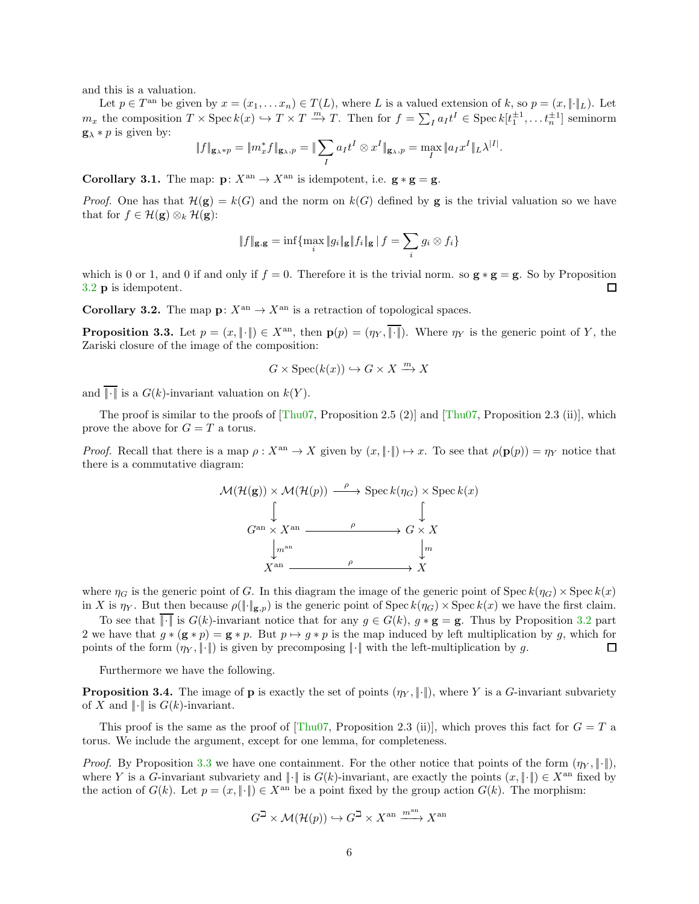and this is a valuation.

Let  $p \in T^{\text{an}}$  be given by  $x = (x_1, \ldots, x_n) \in T(L)$ , where L is a valued extension of k, so  $p = (x, \|\cdot\|_L)$ . Let  $m_x$  the composition  $T \times \operatorname{Spec} k(x) \hookrightarrow T \times T \stackrel{m}{\longrightarrow} T$ . Then for  $f = \sum_I a_I t^I \in \operatorname{Spec} k[t_1^{\pm 1}, \dots t_n^{\pm 1}]$  seminorm  $\mathbf{g}_{\lambda} * p$  is given by:

$$
||f||_{\mathbf{g}_{\lambda}*p} = ||m_x^* f||_{\mathbf{g}_{\lambda},p} = ||\sum_{I} a_I t^I \otimes x^I||_{\mathbf{g}_{\lambda},p} = \max_{I} ||a_I x^I||_{L} \lambda^{|I|}.
$$

Corollary 3.1. The map:  $\mathbf{p}: X^{\text{an}} \to X^{\text{an}}$  is idempotent, i.e.  $\mathbf{g} * \mathbf{g} = \mathbf{g}$ .

*Proof.* One has that  $\mathcal{H}(\mathbf{g}) = k(G)$  and the norm on  $k(G)$  defined by **g** is the trivial valuation so we have that for  $f \in \mathcal{H}(\mathbf{g}) \otimes_k \mathcal{H}(\mathbf{g})$ :

$$
\|f\|_{\mathbf{g},\mathbf{g}} = \inf \{ \max_i \|g_i\|_{\mathbf{g}} \|f_i\|_{\mathbf{g}} | f = \sum_i g_i \otimes f_i \}
$$

which is 0 or 1, and 0 if and only if  $f = 0$ . Therefore it is the trivial norm. so  $\mathbf{g} * \mathbf{g} = \mathbf{g}$ . So by Proposition [3.2](#page-4-0) p is idempotent.  $\Box$ 

<span id="page-5-2"></span>Corollary 3.2. The map  $p: X^{an} \to X^{an}$  is a retraction of topological spaces.

<span id="page-5-0"></span>**Proposition 3.3.** Let  $p = (x, \|\cdot\|) \in X^{\text{an}}$ , then  $\mathbf{p}(p) = (\eta_Y, \|\cdot\|)$ . Where  $\eta_Y$  is the generic point of Y, the Zariski closure of the image of the composition:

$$
G \times \operatorname{Spec}(k(x)) \hookrightarrow G \times X \xrightarrow{m} X
$$

and  $\overline{\|\cdot\|}$  is a  $G(k)$ -invariant valuation on  $k(Y)$ .

The proof is similar to the proofs of  $[Thu07,$  Proposition 2.5 (2)] and  $[Thu07,$  Proposition 2.3 (ii)], which prove the above for  $G = T$  a torus.

*Proof.* Recall that there is a map  $\rho : X^{an} \to X$  given by  $(x, \|\cdot\|) \mapsto x$ . To see that  $\rho(\mathbf{p}(p)) = \eta_Y$  notice that there is a commutative diagram:

$$
\mathcal{M}(\mathcal{H}(\mathbf{g})) \times \mathcal{M}(\mathcal{H}(p)) \xrightarrow{\rho} \operatorname{Spec} k(\eta_G) \times \operatorname{Spec} k(x)
$$
\n
$$
\downarrow \qquad \qquad \downarrow
$$
\n
$$
G^{\operatorname{an}} \times X^{\operatorname{an}} \xrightarrow{\rho} G \times X
$$
\n
$$
\downarrow_{m^{\operatorname{an}}} \qquad \qquad \downarrow_{m}
$$
\n
$$
X^{\operatorname{an}} \xrightarrow{\rho} X
$$

where  $\eta_G$  is the generic point of G. In this diagram the image of the generic point of Spec  $k(\eta_G) \times \text{Spec } k(x)$ in X is  $\eta_Y$ . But then because  $\rho(\|\cdot\|_{\mathbf{g},p})$  is the generic point of Spec  $k(\eta_G) \times \text{Spec } k(x)$  we have the first claim.

To see that  $\overline{\|\cdot\|}$  is  $G(k)$ -invariant notice that for any  $g \in G(k)$ ,  $g * \mathbf{g} = \mathbf{g}$ . Thus by Proposition [3.2](#page-4-0) part 2 we have that  $g * (\mathbf{g} * p) = \mathbf{g} * p$ . But  $p \mapsto g * p$  is the map induced by left multiplication by g, which for points of the form  $(\eta_Y, \|\cdot\|)$  is given by precomposing  $\|\cdot\|$  with the left-multiplication by g.  $\Box$ 

Furthermore we have the following.

<span id="page-5-1"></span>**Proposition 3.4.** The image of **p** is exactly the set of points  $(\eta_Y, \|\cdot\|)$ , where Y is a G-invariant subvariety of X and  $\|\cdot\|$  is  $G(k)$ -invariant.

This proof is the same as the proof of [\[Thu07,](#page-18-2) Proposition 2.3 (ii)], which proves this fact for  $G = T$  a torus. We include the argument, except for one lemma, for completeness.

*Proof.* By Proposition [3.3](#page-5-0) we have one containment. For the other notice that points of the form  $(\eta_Y, \cdot | \cdot |)$ , where Y is a G-invariant subvariety and  $\|\cdot\|$  is  $G(k)$ -invariant, are exactly the points  $(x, \|\cdot\|) \in X^{an}$  fixed by the action of  $G(k)$ . Let  $p = (x, \|\cdot\|) \in X^{\text{an}}$  be a point fixed by the group action  $G(k)$ . The morphism:

$$
G^{\beth} \times \mathcal{M}(\mathcal{H}(p)) \hookrightarrow G^{\beth} \times X^{\mathrm{an}} \xrightarrow{m^{\mathrm{an}}} X^{\mathrm{an}}
$$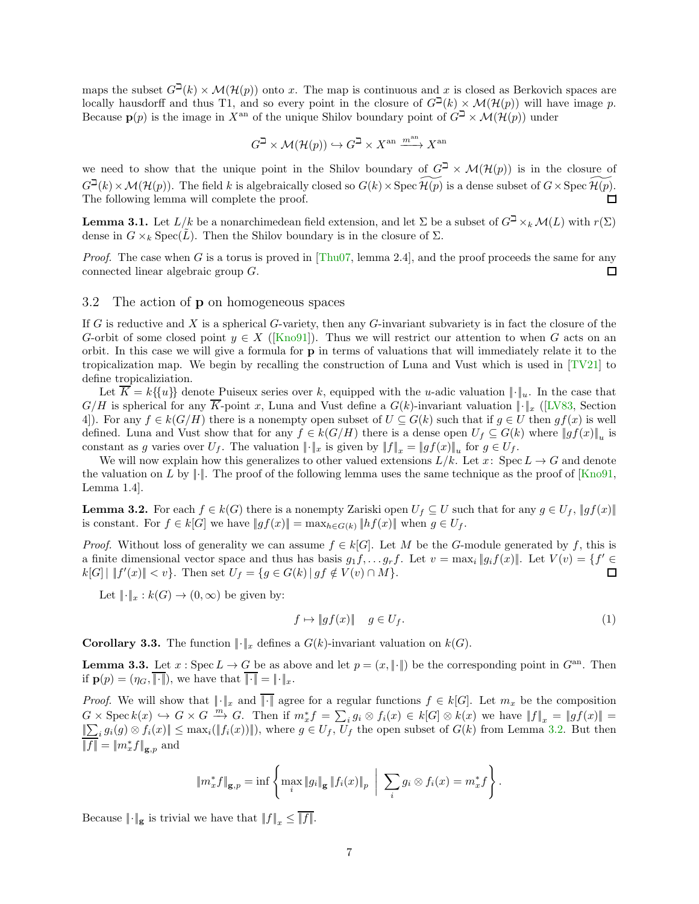maps the subset  $G^{\square}(k) \times \mathcal{M}(\mathcal{H}(p))$  onto x. The map is continuous and x is closed as Berkovich spaces are locally hausdorff and thus T1, and so every point in the closure of  $G^{\perp}(k) \times \mathcal{M}(\mathcal{H}(p))$  will have image p. Because  $p(p)$  is the image in  $X^{\text{an}}$  of the unique Shilov boundary point of  $G^{\perp}\times \mathcal{M}(\mathcal{H}(p))$  under

$$
G^{\beth} \times \mathcal{M}(\mathcal{H}(p)) \hookrightarrow G^{\beth} \times X^{\mathrm{an}} \xrightarrow{m^{\mathrm{an}}} X^{\mathrm{an}}
$$

we need to show that the unique point in the Shilov boundary of  $G^{\perp} \times \mathcal{M}(\mathcal{H}(p))$  is in the closure of  $G^{\square}(k)\times \mathcal{M}(\mathcal{H}(p)).$  The field k is algebraically closed so  $G(k)\times \text{Spec } \widetilde{\mathcal{H}(p)}$  is a dense subset of  $G\times \text{Spec } \widetilde{\mathcal{H}(p)}$ . The following lemma will complete the proof.  $\Box$ 

**Lemma 3.1.** Let  $L/k$  be a nonarchimedean field extension, and let  $\Sigma$  be a subset of  $G^{\perp}\times_k \mathcal{M}(L)$  with  $r(\Sigma)$ dense in  $G \times_k \text{Spec}(L)$ . Then the Shilov boundary is in the closure of  $\Sigma$ .

*Proof.* The case when G is a torus is proved in [\[Thu07](#page-18-2), lemma 2.4], and the proof proceeds the same for any connected linear algebraic group G.  $\Box$ 

# 3.2 The action of p on homogeneous spaces

If G is reductive and X is a spherical G-variety, then any G-invariant subvariety is in fact the closure of the G-orbit of some closed point  $y \in X$  ([\[Kno91\]](#page-17-0)). Thus we will restrict our attention to when G acts on an orbit. In this case we will give a formula for p in terms of valuations that will immediately relate it to the tropicalization map. We begin by recalling the construction of Luna and Vust which is used in [\[TV21\]](#page-18-1) to define tropicaliziation.

Let  $\overline{K} = k\{u\}$  denote Puiseux series over k, equipped with the u-adic valuation  $\|\cdot\|_u$ . In the case that  $G/H$  is spherical for any  $\overline{K}$ -point x, Luna and Vust define a  $G(k)$ -invariant valuation  $\| \cdot \|_x$  ([\[LV83,](#page-17-5) Section 4]). For any  $f \in k(G/H)$  there is a nonempty open subset of  $U \subseteq G(k)$  such that if  $g \in U$  then  $gf(x)$  is well defined. Luna and Vust show that for any  $f \in k(G/H)$  there is a dense open  $U_f \subseteq G(k)$  where  $||gf(x)||_u$  is constant as g varies over  $U_f$ . The valuation  $\|\cdot\|_x$  is given by  $\|f\|_x = \|gf(x)\|_u$  for  $g \in U_f$ .

We will now explain how this generalizes to other valued extensions  $L/k$ . Let x: Spec  $L \to G$  and denote the valuation on L by  $\|\cdot\|$ . The proof of the following lemma uses the same technique as the proof of  $[Kno91,$ Lemma 1.4].

<span id="page-6-0"></span>**Lemma 3.2.** For each  $f \in k(G)$  there is a nonempty Zariski open  $U_f \subseteq U$  such that for any  $g \in U_f$ ,  $||gf(x)||$ is constant. For  $f \in k[G]$  we have  $||gf(x)|| = \max_{h \in G(k)} ||hf(x)||$  when  $g \in U_f$ .

*Proof.* Without loss of generality we can assume  $f \in k[G]$ . Let M be the G-module generated by f, this is a finite dimensional vector space and thus has basis  $g_1f, \ldots g_rf$ . Let  $v = \max_i \|g_if(x)\|$ . Let  $V(v) = \{f' \in$  $k[G] | ||f'(x)|| < v$ . Then set  $U_f = \{ g \in G(k) | gf \notin V(v) \cap M \}.$  $\Box$ 

Let  $\lVert \cdot \rVert_x : k(G) \to (0, \infty)$  be given by:

<span id="page-6-1"></span>
$$
f \mapsto \|gf(x)\| \quad g \in U_f. \tag{1}
$$

**Corollary 3.3.** The function  $\|\cdot\|_x$  defines a  $G(k)$ -invariant valuation on  $k(G)$ .

**Lemma 3.3.** Let  $x : \text{Spec } L \to G$  be as above and let  $p = (x, \|\cdot\|)$  be the corresponding point in  $G^{\text{an}}$ . Then if  $\mathbf{p}(p) = (\eta_G, \overline{\|\cdot\|})$ , we have that  $\overline{\|\cdot\|} = \|\cdot\|_x$ .

*Proof.* We will show that  $\|\cdot\|_x$  and  $\overline{\|\cdot\|}$  agree for a regular functions  $f \in k[G]$ . Let  $m_x$  be the composition  $G \times \operatorname{Spec} k(x) \hookrightarrow G \times G \stackrel{m}{\longrightarrow} G$ . Then if  $m_x^* f = \sum_i g_i \otimes f_i(x) \in k[G] \otimes k(x)$  we have  $||f||_x = ||gf(x)|| =$  $\|\sum_i g_i(g) \otimes f_i(x)\| \leq \max_i (\|f_i(x))\|$ , where  $g \in U_f$ ,  $\overline{U}_f$  the open subset of  $G(k)$  from Lemma [3.2.](#page-6-0) But then  $\overline{\|f\|} = \|m_x^* f\|_{\mathbf{g},p}$  and

$$
\|m_x^* f\|_{\mathbf{g},p} = \inf \left\{ \max_i \|g_i\|_{\mathbf{g}} \|f_i(x)\|_{p} \mid \sum_i g_i \otimes f_i(x) = m_x^* f \right\}.
$$

Because  $\lVert \cdot \rVert_{g}$  is trivial we have that  $\lVert f \rVert_{x} \leq \lVert f \rVert$ .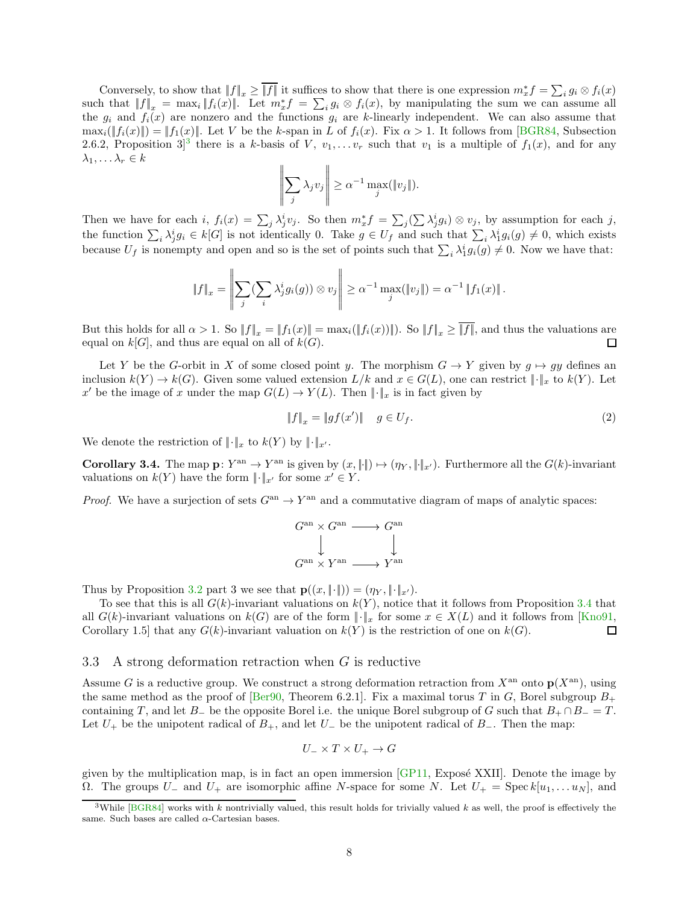Conversely, to show that  $||f||_x \ge ||f||$  it suffices to show that there is one expression  $m_x^* f = \sum_i g_i \otimes f_i(x)$ such that  $||f||_x = \max_i ||f_i(x)||$ . Let  $m_x^* f = \sum_i g_i \otimes f_i(x)$ , by manipulating the sum we can assume all the  $g_i$  and  $f_i(x)$  are nonzero and the functions  $g_i$  are k-linearly independent. We can also assume that  $\max_i(\|f_i(x)\|) = \|f_1(x)\|$ . Let V be the k-span in L of  $f_i(x)$ . Fix  $\alpha > 1$ . It follows from [\[BGR84](#page-17-6), Subsection 2.6.2, Proposition [3](#page-7-0)<sup>3</sup> there is a k-basis of V,  $v_1, \ldots v_r$  such that  $v_1$  is a multiple of  $f_1(x)$ , and for any  $\lambda_1, \ldots \lambda_r \in k$ 

$$
\left\|\sum_{j}\lambda_jv_j\right\| \geq \alpha^{-1}\max_j(\|v_j\|).
$$

Then we have for each i,  $f_i(x) = \sum_j \lambda_j^i v_j$ . So then  $m_x^* f = \sum_j (\sum_j \lambda_j^i g_i) \otimes v_j$ , by assumption for each j, the function  $\sum_i \lambda_j^i g_i \in k[G]$  is not identically 0. Take  $g \in U_f$  and such that  $\sum_i \lambda_1^i g_i(g) \neq 0$ , which exists because  $U_f$  is nonempty and open and so is the set of points such that  $\sum_i \lambda_1^i g_i(g) \neq 0$ . Now we have that:

$$
\|f\|_{x} = \left\| \sum_{j} (\sum_{i} \lambda_{j}^{i} g_{i}(g)) \otimes v_{j} \right\| \geq \alpha^{-1} \max_{j} (\|v_{j}\|) = \alpha^{-1} \|f_{1}(x)\|.
$$

But this holds for all  $\alpha > 1$ . So  $||f||_x = ||f_1(x)|| = \max_i (||f_i(x)||)$ . So  $||f||_x \ge ||\overline{f}||$ , and thus the valuations are equal on  $k[G]$ . equal on  $k[G]$ , and thus are equal on all of  $k(G)$ .

Let Y be the G-orbit in X of some closed point y. The morphism  $G \to Y$  given by  $g \mapsto gy$  defines an inclusion  $k(Y) \to k(G)$ . Given some valued extension  $L/k$  and  $x \in G(L)$ , one can restrict  $\lVert \cdot \rVert_x$  to  $k(Y)$ . Let x' be the image of x under the map  $G(L) \to Y(L)$ . Then  $\lVert \cdot \rVert_x$  is in fact given by

<span id="page-7-2"></span>
$$
\|f\|_{x} = \|gf(x')\| \quad g \in U_f.
$$
 (2)

We denote the restriction of  $\|\cdot\|_x$  to  $k(Y)$  by  $\|\cdot\|_{x'}$ .

<span id="page-7-1"></span>**Corollary 3.4.** The map  $\mathbf{p} \colon Y^{\text{an}} \to Y^{\text{an}}$  is given by  $(x, \|\cdot\|) \mapsto (\eta_Y, \|\cdot\|_{x'})$ . Furthermore all the  $G(k)$ -invariant valuations on  $k(Y)$  have the form  $\lVert \cdot \rVert_{x'}$  for some  $x' \in Y$ .

*Proof.* We have a surjection of sets  $G^{an} \to Y^{an}$  and a commutative diagram of maps of analytic spaces:

$$
G^{\text{an}} \times G^{\text{an}} \longrightarrow G^{\text{an}}
$$
  

$$
\downarrow \qquad \qquad \downarrow
$$
  

$$
G^{\text{an}} \times Y^{\text{an}} \longrightarrow Y^{\text{an}}
$$

Thus by Proposition [3.2](#page-4-0) part 3 we see that  $\mathbf{p}((x, \|\cdot\|)) = (\eta_Y, \|\cdot\|_{x}).$ 

To see that this is all  $G(k)$ -invariant valuations on  $k(Y)$ , notice that it follows from Proposition [3.4](#page-5-1) that all  $G(k)$ -invariant valuations on  $k(G)$  are of the form  $\|\cdot\|_x$  for some  $x \in X(L)$  and it follows from [\[Kno91](#page-17-0), Corollary 1.5] that any  $G(k)$ -invariant valuation on  $k(Y)$  is the restriction of one on  $k(G)$ .  $\Box$ 

#### 3.3 A strong deformation retraction when G is reductive

Assume G is a reductive group. We construct a strong deformation retraction from  $X^{\text{an}}$  onto  $p(X^{\text{an}})$ , using the same method as the proof of [\[Ber90,](#page-17-3) Theorem 6.2.1]. Fix a maximal torus T in G, Borel subgroup  $B_+$ containing T, and let B<sub>−</sub> be the opposite Borel i.e. the unique Borel subgroup of G such that  $B_+ \cap B_- = T$ . Let  $U_+$  be the unipotent radical of  $B_+$ , and let  $U_-\$  be the unipotent radical of  $B_-\$ . Then the map:

$$
U_-\times T\times U_+\to G
$$

given by the multiplication map, is in fact an open immersion  $[GP11, Expose XXII]$ . Denote the image by  $Ω.$  The groups  $U_+$  and  $U_+$  are isomorphic affine N-space for some N. Let  $U_+$  = Spec  $k[u_1, \ldots u_N]$ , and

<span id="page-7-0"></span><sup>&</sup>lt;sup>3</sup>While [\[BGR84\]](#page-17-6) works with k nontrivially valued, this result holds for trivially valued k as well, the proof is effectively the same. Such bases are called  $\alpha$ -Cartesian bases.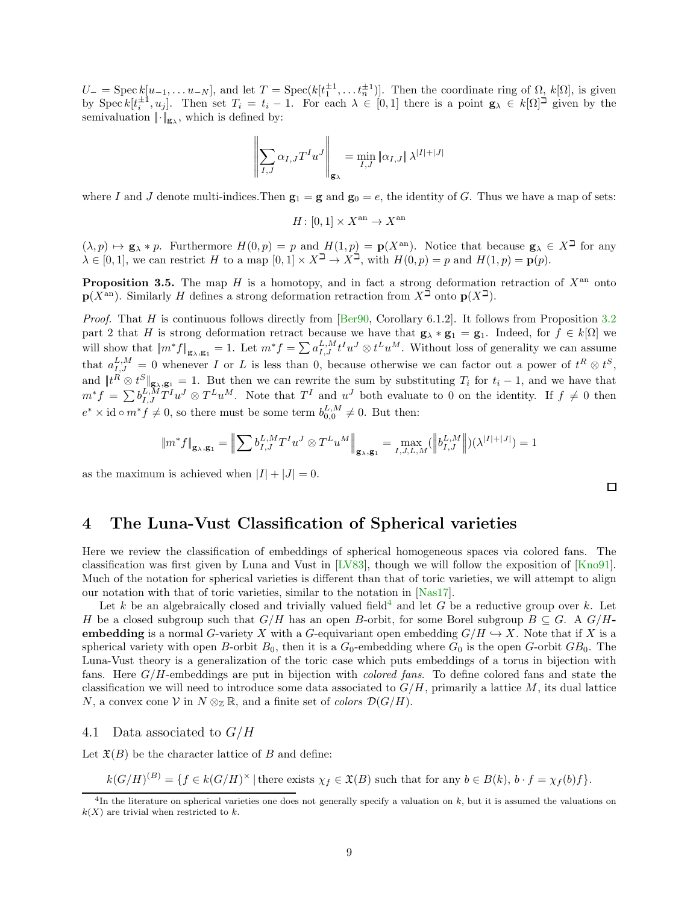$U_{-} = \text{Spec } k[u_{-1}, \ldots u_{-N}]$ , and let  $T = \text{Spec}(k[t_1^{\pm 1}, \ldots t_n^{\pm 1})]$ . Then the coordinate ring of  $\Omega_{\underline{1}} k[\Omega]$ , is given by Spec  $k[t_i^{\pm 1}, u_j]$ . Then set  $T_i = t_i - 1$ . For each  $\lambda \in [0, 1]$  there is a point  $\mathbf{g}_{\lambda} \in k[\Omega]^{\beth}$  given by the semivaluation  $\lVert \cdot \rVert_{\mathbf{g}_{\lambda}},$  which is defined by:

$$
\left\|\sum_{I,J}\alpha_{I,J}T^I u^J\right\|_{\mathbf{g}_{\lambda}}=\min_{I,J}\|\alpha_{I,J}\|\,\lambda^{|I|+|J|}
$$

where I and J denote multi-indices. Then  $\mathbf{g}_1 = \mathbf{g}$  and  $\mathbf{g}_0 = e$ , the identity of G. Thus we have a map of sets:

 $H: [0, 1] \times X^{\text{an}} \to X^{\text{an}}$ 

 $(\lambda, p) \mapsto \mathbf{g}_{\lambda} * p$ . Furthermore  $H(0, p) = p$  and  $H(1, p) = \mathbf{p}(X^{\text{an}})$ . Notice that because  $\mathbf{g}_{\lambda} \in X^{\beth}$  for any  $\lambda \in [0,1],$  we can restrict H to a map  $[0,1] \times X^{\beth} \to X^{\beth}$ , with  $H(0,p) = p$  and  $H(1,p) = p(p)$ .

<span id="page-8-2"></span>**Proposition 3.5.** The map  $H$  is a homotopy, and in fact a strong deformation retraction of  $X^{\text{an}}$  onto  $p(X^{\text{an}})$ . Similarly H defines a strong deformation retraction from  $X^{\beth}$  onto  $p(X^{\beth})$ .

*Proof.* That H is continuous follows directly from [\[Ber90](#page-17-3), Corollary 6.1.2]. It follows from Proposition [3.2](#page-4-0) part 2 that H is strong deformation retract because we have that  $\mathbf{g}_{\lambda} * \mathbf{g}_1 = \mathbf{g}_1$ . Indeed, for  $f \in k[\Omega]$  we will show that  $\|m^*f\|_{\mathbf{g}_{\lambda},\mathbf{g}_{1}}=1$ . Let  $m^*f=\sum a_{I,J}^{L,M}t^I u^J\otimes t^L u^M$ . Without loss of generality we can assume that  $a_{I,J}^{L,M} = 0$  whenever I or L is less than 0, because otherwise we can factor out a power of  $t^R \otimes t^S$ , and  $||t^R \otimes t^S||_{\mathbf{g}_{\lambda},\mathbf{g}_1} = 1$ . But then we can rewrite the sum by substituting  $T_i$  for  $t_i - 1$ , and we have that  $m^*f = \sum b_{I,J}^{L,M} T^I u^J \otimes T^L u^M$ . Note that  $T^I$  and  $u^J$  both evaluate to 0 on the identity. If  $f \neq 0$  then  $e^* \times id \circ m^* f \neq 0$ , so there must be some term  $b_{0,0}^{L,M} \neq 0$ . But then:

$$
\|m^{\ast}f\|_{\mathbf{g}_{\lambda},\mathbf{g}_{1}}=\left\|\sum b_{I,J}^{L,M}T^{I}u^{J}\otimes T^{L}u^{M}\right\|_{\mathbf{g}_{\lambda},\mathbf{g}_{1}}=\max\limits_{I,J,L,M}(\left\|b_{I,J}^{L,M}\right\|)(\lambda^{|I|+|J|})=1
$$

as the maximum is achieved when  $|I| + |J| = 0$ .

# <span id="page-8-0"></span>4 The Luna-Vust Classification of Spherical varieties

Here we review the classification of embeddings of spherical homogeneous spaces via colored fans. The classification was first given by Luna and Vust in [\[LV83\]](#page-17-5), though we will follow the exposition of [\[Kno91\]](#page-17-0). Much of the notation for spherical varieties is different than that of toric varieties, we will attempt to align our notation with that of toric varieties, similar to the notation in [\[Nas17](#page-17-1)].

Let k be an algebraically closed and trivially valued field<sup>[4](#page-8-1)</sup> and let G be a reductive group over k. Let H be a closed subgroup such that  $G/H$  has an open B-orbit, for some Borel subgroup  $B \subseteq G$ . A  $G/H$ embedding is a normal G-variety X with a G-equivariant open embedding  $G/H \hookrightarrow X$ . Note that if X is a spherical variety with open B-orbit  $B_0$ , then it is a  $G_0$ -embedding where  $G_0$  is the open G-orbit  $GB_0$ . The Luna-Vust theory is a generalization of the toric case which puts embeddings of a torus in bijection with fans. Here G/H-embeddings are put in bijection with *colored fans*. To define colored fans and state the classification we will need to introduce some data associated to  $G/H$ , primarily a lattice  $M$ , its dual lattice N, a convex cone V in  $N \otimes_{\mathbb{Z}} \mathbb{R}$ , and a finite set of *colors*  $\mathcal{D}(G/H)$ .

# 4.1 Data associated to  $G/H$

Let  $\mathfrak{X}(B)$  be the character lattice of B and define:

 $k(G/H)^{(B)} = \{f \in k(G/H)^{\times} \mid \text{there exists } \chi_f \in \mathfrak{X}(B) \text{ such that for any } b \in B(k), b \cdot f = \chi_f(b)f\}.$ 

<span id="page-8-1"></span><sup>&</sup>lt;sup>4</sup>In the literature on spherical varieties one does not generally specify a valuation on  $k$ , but it is assumed the valuations on  $k(X)$  are trivial when restricted to k.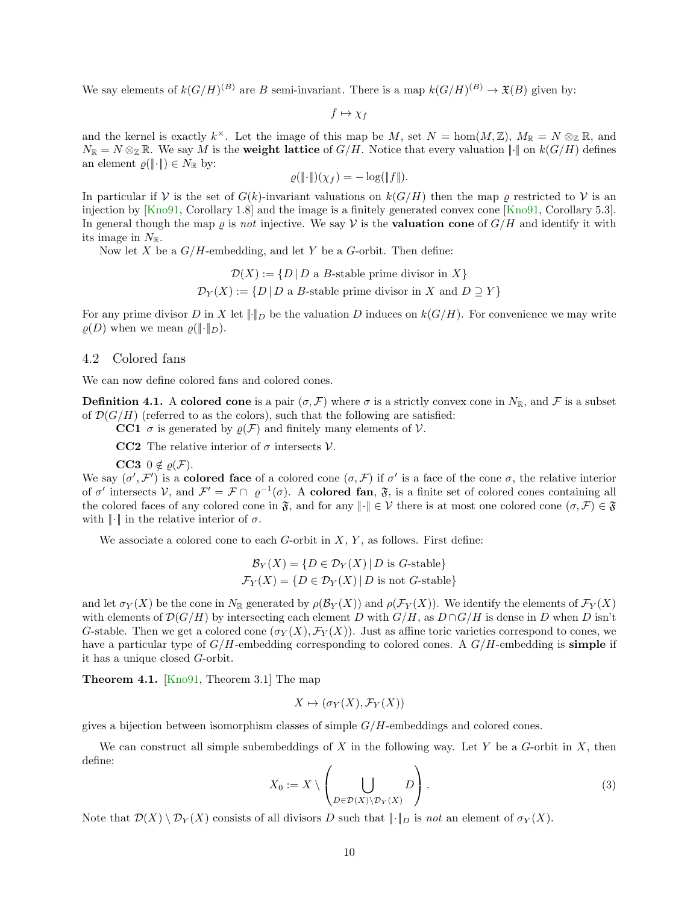We say elements of  $k(G/H)^{(B)}$  are B semi-invariant. There is a map  $k(G/H)^{(B)} \to \mathfrak{X}(B)$  given by:

$$
f \mapsto \chi_f
$$

and the kernel is exactly  $k^{\times}$ . Let the image of this map be M, set  $N = \text{hom}(M, \mathbb{Z})$ ,  $M_{\mathbb{R}} = N \otimes_{\mathbb{Z}} \mathbb{R}$ , and  $N_{\mathbb{R}} = N \otimes_{\mathbb{Z}} \mathbb{R}$ . We say M is the weight lattice of  $G/H$ . Notice that every valuation  $\|\cdot\|$  on  $k(G/H)$  defines an element  $\varrho(\|\cdot\|) \in N_{\mathbb{R}}$  by:

$$
\varrho(\lVert \cdot \rVert)(\chi_f) = -\log(\lVert f \rVert).
$$

In particular if V is the set of  $G(k)$ -invariant valuations on  $k(G/H)$  then the map  $\varrho$  restricted to V is an injection by [\[Kno91](#page-17-0), Corollary 1.8] and the image is a finitely generated convex cone [\[Kno91](#page-17-0), Corollary 5.3]. In general though the map  $\varrho$  is *not* injective. We say  $\mathcal V$  is the **valuation cone** of  $G/H$  and identify it with its image in  $N_{\mathbb{R}}$ .

Now let X be a  $G/H$ -embedding, and let Y be a G-orbit. Then define:

$$
\mathcal{D}(X) := \{ D \mid D \text{ a } B\text{-stable prime divisor in } X \}
$$
  

$$
\mathcal{D}_Y(X) := \{ D \mid D \text{ a } B\text{-stable prime divisor in } X \text{ and } D \supseteq Y \}
$$

For any prime divisor D in X let  $\| \cdot \|_D$  be the valuation D induces on  $k(G/H)$ . For convenience we may write  $\rho(D)$  when we mean  $\rho(\|\cdot\|_D)$ .

### 4.2 Colored fans

We can now define colored fans and colored cones.

**Definition 4.1.** A colored cone is a pair  $(\sigma, \mathcal{F})$  where  $\sigma$  is a strictly convex cone in  $N_{\mathbb{R}}$ , and  $\mathcal{F}$  is a subset of  $\mathcal{D}(G/H)$  (referred to as the colors), such that the following are satisfied:

CC1  $\sigma$  is generated by  $\rho(\mathcal{F})$  and finitely many elements of  $\mathcal{V}$ .

CC2 The relative interior of  $\sigma$  intersects  $\mathcal V$ .

CC3  $0 \notin \varrho(\mathcal{F}).$ 

We say  $(\sigma', \mathcal{F}')$  is a **colored face** of a colored cone  $(\sigma, \mathcal{F})$  if  $\sigma'$  is a face of the cone  $\sigma$ , the relative interior of  $\sigma'$  intersects  $V$ , and  $\mathcal{F}' = \mathcal{F} \cap \varrho^{-1}(\sigma)$ . A **colored fan**,  $\mathfrak{F}$ , is a finite set of colored cones containing all the colored faces of any colored cone in  $\mathfrak{F}$ , and for any  $\|\cdot\| \in \mathcal{V}$  there is at most one colored cone  $(\sigma, \mathcal{F}) \in \mathfrak{F}$ with  $\|\cdot\|$  in the relative interior of  $\sigma$ .

We associate a colored cone to each  $G$ -orbit in  $X, Y$ , as follows. First define:

$$
\mathcal{B}_Y(X) = \{ D \in \mathcal{D}_Y(X) \mid D \text{ is } G\text{-stable} \}
$$

$$
\mathcal{F}_Y(X) = \{ D \in \mathcal{D}_Y(X) \mid D \text{ is not } G\text{-stable} \}
$$

and let  $\sigma_Y(X)$  be the cone in  $N_{\mathbb{R}}$  generated by  $\rho(\mathcal{B}_Y(X))$  and  $\rho(\mathcal{F}_Y(X))$ . We identify the elements of  $\mathcal{F}_Y(X)$ with elements of  $\mathcal{D}(G/H)$  by intersecting each element D with  $G/H$ , as  $D \cap G/H$  is dense in D when D isn't G-stable. Then we get a colored cone  $(\sigma_Y(X), \mathcal{F}_Y(X))$ . Just as affine toric varieties correspond to cones, we have a particular type of  $G/H$ -embedding corresponding to colored cones. A  $G/H$ -embedding is **simple** if it has a unique closed G-orbit.

Theorem 4.1. [\[Kno91,](#page-17-0) Theorem 3.1] The map

$$
X \mapsto (\sigma_Y(X), \mathcal{F}_Y(X))
$$

gives a bijection between isomorphism classes of simple  $G/H$ -embeddings and colored cones.

We can construct all simple subembeddings of X in the following way. Let Y be a  $G$ -orbit in X, then define:

<span id="page-9-0"></span>
$$
X_0 := X \setminus \left( \bigcup_{D \in \mathcal{D}(X) \setminus \mathcal{D}_Y(X)} D \right).
$$
\n(3)

Note that  $\mathcal{D}(X) \setminus \mathcal{D}_Y(X)$  consists of all divisors D such that  $\| \cdot \|_D$  is *not* an element of  $\sigma_Y(X)$ .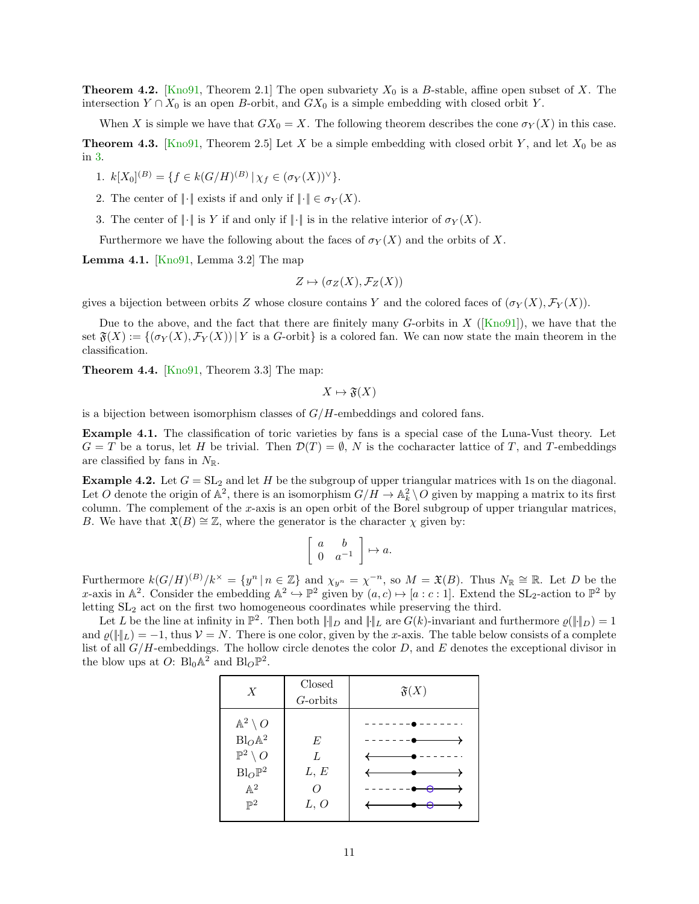<span id="page-10-0"></span>**Theorem 4.2.** [\[Kno91,](#page-17-0) Theorem 2.1] The open subvariety  $X_0$  is a B-stable, affine open subset of X. The intersection  $Y \cap X_0$  is an open B-orbit, and  $GX_0$  is a simple embedding with closed orbit Y.

<span id="page-10-2"></span>When X is simple we have that  $GX_0 = X$ . The following theorem describes the cone  $\sigma_Y(X)$  in this case. **Theorem 4.3.** [\[Kno91,](#page-17-0) Theorem 2.5] Let X be a simple embedding with closed orbit Y, and let  $X_0$  be as in [3.](#page-9-0)

1.  $k[X_0]^{(B)} = \{f \in k(G/H)^{(B)} | \chi_f \in (\sigma_Y(X))^{\vee}\}.$ 

- 2. The center of  $\|\cdot\|$  exists if and only if  $\|\cdot\| \in \sigma_Y(X)$ .
- 3. The center of  $\|\cdot\|$  is Y if and only if  $\|\cdot\|$  is in the relative interior of  $\sigma_Y(X)$ .

Furthermore we have the following about the faces of  $\sigma_Y(X)$  and the orbits of X.

**Lemma 4.1.** [ $\text{Kno91}$ , Lemma 3.2] The map

$$
Z \mapsto (\sigma_Z(X), \mathcal{F}_Z(X))
$$

gives a bijection between orbits Z whose closure contains Y and the colored faces of  $(\sigma_Y(X), \mathcal{F}_Y(X))$ .

Due to the above, and the fact that there are finitely many G-orbits in  $X$  ([\[Kno91\]](#page-17-0)), we have that the set  $\mathfrak{F}(X) := \{(\sigma_Y(X), \mathcal{F}_Y(X)) | Y$  is a G-orbit is a colored fan. We can now state the main theorem in the classification.

Theorem 4.4. [\[Kno91,](#page-17-0) Theorem 3.3] The map:

$$
X \mapsto \mathfrak{F}(X)
$$

is a bijection between isomorphism classes of  $G/H$ -embeddings and colored fans.

Example 4.1. The classification of toric varieties by fans is a special case of the Luna-Vust theory. Let  $G = T$  be a torus, let H be trivial. Then  $\mathcal{D}(T) = \emptyset$ , N is the cocharacter lattice of T, and T-embeddings are classified by fans in  $N_{\mathbb{R}}$ .

<span id="page-10-1"></span>**Example 4.2.** Let  $G = SL_2$  and let H be the subgroup of upper triangular matrices with 1s on the diagonal. Let O denote the origin of  $\mathbb{A}^2$ , there is an isomorphism  $G/H \to \mathbb{A}^2_k \setminus O$  given by mapping a matrix to its first column. The complement of the x-axis is an open orbit of the Borel subgroup of upper triangular matrices, B. We have that  $\mathfrak{X}(B) \cong \mathbb{Z}$ , where the generator is the character  $\chi$  given by:

$$
\left[\begin{array}{cc}a&b\\0&a^{-1}\end{array}\right]\mapsto a.
$$

Furthermore  $k(G/H)^{(B)}/k^{\times} = \{y^n | n \in \mathbb{Z}\}\$ and  $\chi_{y^n} = \chi^{-n}$ , so  $M = \mathfrak{X}(B)$ . Thus  $N_{\mathbb{R}} \cong \mathbb{R}$ . Let D be the x-axis in  $\mathbb{A}^2$ . Consider the embedding  $\mathbb{A}^2 \to \mathbb{P}^2$  given by  $(a, c) \mapsto [a : c : 1]$ . Extend the SL<sub>2</sub>-action to  $\mathbb{P}^2$  by letting SL<sup>2</sup> act on the first two homogeneous coordinates while preserving the third.

Let L be the line at infinity in  $\mathbb{P}^2$ . Then both  $||\cdot||_D$  and  $||\cdot||_L$  are  $G(k)$ -invariant and furthermore  $\varrho(||\cdot||_D) = 1$ and  $\varrho(\|\cdot\|_L) = -1$ , thus  $\mathcal{V} = N$ . There is one color, given by the x-axis. The table below consists of a complete list of all  $G/H$ -embeddings. The hollow circle denotes the color  $D$ , and  $E$  denotes the exceptional divisor in the blow ups at O:  $Bl_0 \mathbb{A}^2$  and  $Bl_0 \mathbb{P}^2$ .

| X                                                                                                                                                          | Closed<br>$G$ -orbits                                    | $\mathfrak{F}(X)$ |
|------------------------------------------------------------------------------------------------------------------------------------------------------------|----------------------------------------------------------|-------------------|
| $\mathbb{A}^2 \setminus O$<br>$\mathrm{Bl}_O\mathbb{A}^2$<br>$\mathbb{P}^2 \setminus O$<br>$\mathrm{Bl}_O\mathbb{P}^2$<br>$\mathbb{A}^2$<br>$\mathbb{P}^2$ | $F_{\!\scriptscriptstyle\! L}$<br>L<br>L, E<br>Ω<br>L, O |                   |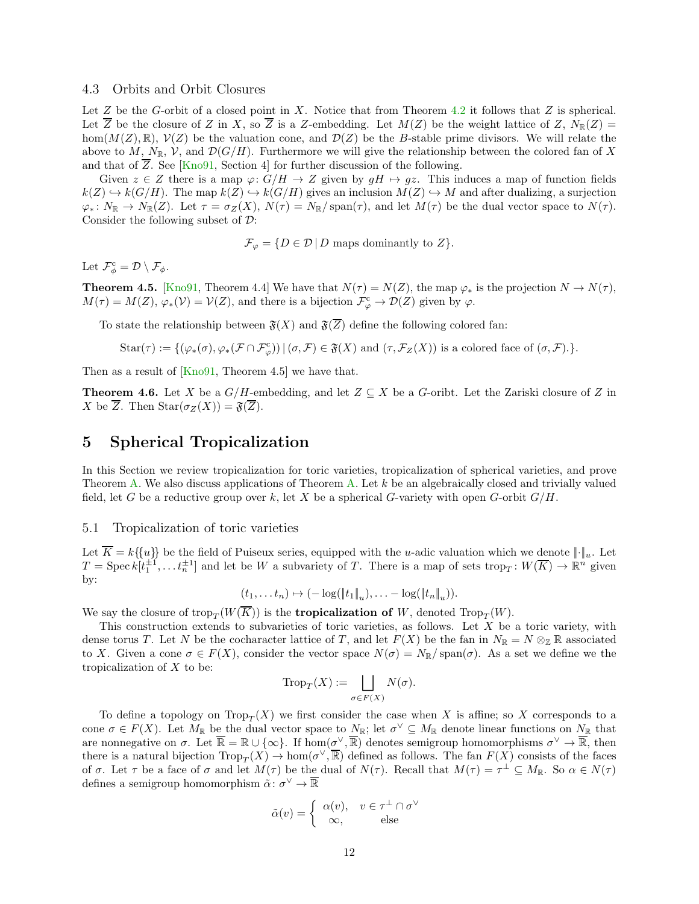### 4.3 Orbits and Orbit Closures

Let Z be the G-orbit of a closed point in X. Notice that from Theorem [4.2](#page-10-0) it follows that Z is spherical. Let  $\overline{Z}$  be the closure of Z in X, so  $\overline{Z}$  is a Z-embedding. Let  $M(Z)$  be the weight lattice of Z,  $N_{\mathbb{R}}(Z)$  = hom $(M(Z), \mathbb{R})$ ,  $V(Z)$  be the valuation cone, and  $\mathcal{D}(Z)$  be the B-stable prime divisors. We will relate the above to M,  $N_{\mathbb{R}}$ , V, and  $\mathcal{D}(G/H)$ . Furthermore we will give the relationship between the colored fan of X and that of Z. See [\[Kno91,](#page-17-0) Section 4] for further discussion of the following.

Given  $z \in Z$  there is a map  $\varphi: G/H \to Z$  given by  $gH \mapsto gz$ . This induces a map of function fields  $k(Z) \hookrightarrow k(G/H)$ . The map  $k(Z) \hookrightarrow k(G/H)$  gives an inclusion  $M(Z) \hookrightarrow M$  and after dualizing, a surjection  $\varphi_*\colon N_{\mathbb{R}} \to N_{\mathbb{R}}(Z)$ . Let  $\tau = \sigma_Z(X)$ ,  $N(\tau) = N_{\mathbb{R}}/\text{span}(\tau)$ , and let  $M(\tau)$  be the dual vector space to  $N(\tau)$ . Consider the following subset of D:

$$
\mathcal{F}_{\varphi} = \{ D \in \mathcal{D} \mid D \text{ maps dominantly to } Z \}.
$$

Let  $\mathcal{F}_{\phi}^{\rm c} = \mathcal{D} \setminus \mathcal{F}_{\phi}$ .

<span id="page-11-2"></span>**Theorem 4.5.** [\[Kno91,](#page-17-0) Theorem 4.4] We have that  $N(\tau) = N(Z)$ , the map  $\varphi_*$  is the projection  $N \to N(\tau)$ ,  $M(\tau) = M(Z), \varphi_*(\mathcal{V}) = \mathcal{V}(Z)$ , and there is a bijection  $\mathcal{F}^c_{\varphi} \to \mathcal{D}(Z)$  given by  $\varphi$ .

To state the relationship between  $\mathfrak{F}(X)$  and  $\mathfrak{F}(\overline{Z})$  define the following colored fan:

$$
Star(\tau) := \{ (\varphi_*(\sigma), \varphi_*(\mathcal{F} \cap \mathcal{F}_{\varphi}^c)) \mid (\sigma, \mathcal{F}) \in \mathfrak{F}(X) \text{ and } (\tau, \mathcal{F}_Z(X)) \text{ is a colored face of } (\sigma, \mathcal{F}). \}.
$$

Then as a result of  $[Kno91, Theorem 4.5]$  we have that.

<span id="page-11-1"></span>**Theorem 4.6.** Let X be a  $G/H$ -embedding, and let  $Z \subseteq X$  be a G-oribt. Let the Zariski closure of Z in X be  $\overline{Z}$ . Then  $\text{Star}(\sigma_Z(X)) = \mathfrak{F}(\overline{Z})$ .

# <span id="page-11-0"></span>5 Spherical Tropicalization

In this Section we review tropicalization for toric varieties, tropicalization of spherical varieties, and prove Theorem [A.](#page-0-0) We also discuss applications of Theorem [A.](#page-0-0) Let k be an algebraically closed and trivially valued field, let G be a reductive group over k, let X be a spherical G-variety with open G-orbit  $G/H$ .

# 5.1 Tropicalization of toric varieties

Let  $\overline{K} = k\{\{u\}\}\$ be the field of Puiseux series, equipped with the *u*-adic valuation which we denote  $\|\cdot\|_u$ . Let  $T = \operatorname{Spec} k[t_1^{\pm 1}, \ldots t_n^{\pm 1}]$  and let be W a subvariety of T. There is a map of sets trop<sub>T</sub>:  $W(\overline{K}) \to \mathbb{R}^n$  given by:

$$
(t_1, \ldots, t_n) \mapsto (-\log(\|t_1\|_u), \ldots - \log(\|t_n\|_u)).
$$

We say the closure of  $\text{trop}_T(W(K))$  is the **tropicalization of** W, denoted  $\text{Trop}_T(W)$ .

This construction extends to subvarieties of toric varieties, as follows. Let  $X$  be a toric variety, with dense torus T. Let N be the cocharacter lattice of T, and let  $F(X)$  be the fan in  $N_{\mathbb{R}} = N \otimes_{\mathbb{Z}} \mathbb{R}$  associated to X. Given a cone  $\sigma \in F(X)$ , consider the vector space  $N(\sigma) = N_{\mathbb{R}}/ \text{span}(\sigma)$ . As a set we define we the tropicalization of  $X$  to be:

$$
\mathop{\mathrm{Trop}}\nolimits_T(X):=\bigsqcup_{\sigma\in F(X)}N(\sigma).
$$

To define a topology on  $\text{Top}_T(X)$  we first consider the case when X is affine; so X corresponds to a cone  $\sigma \in F(X)$ . Let  $M_{\mathbb{R}}$  be the dual vector space to  $N_{\mathbb{R}}$ ; let  $\sigma^{\vee} \subseteq M_{\mathbb{R}}$  denote linear functions on  $N_{\mathbb{R}}$  that are nonnegative on  $\sigma$ . Let  $\overline{\mathbb{R}} = \mathbb{R} \cup \{\infty\}$ . If hom $(\sigma^{\vee}, \overline{\mathbb{R}})$  denotes semigroup homomorphisms  $\sigma^{\vee} \to \overline{\mathbb{R}}$ , then there is a natural bijection  $\text{Top}_T(X) \to \text{hom}(\sigma^\vee, \overline{\mathbb{R}})$  defined as follows. The fan  $F(X)$  consists of the faces of  $\sigma$ . Let  $\tau$  be a face of  $\sigma$  and let  $M(\tau)$  be the dual of  $N(\tau)$ . Recall that  $M(\tau) = \tau^{\perp} \subseteq M_{\mathbb{R}}$ . So  $\alpha \in N(\tau)$ defines a semigroup homomorphism  $\tilde{\alpha} : \sigma^{\vee} \to \overline{\mathbb{R}}$ 

$$
\tilde{\alpha}(v) = \begin{cases} \alpha(v), & v \in \tau^{\perp} \cap \sigma^{\vee} \\ \infty, & \text{else} \end{cases}
$$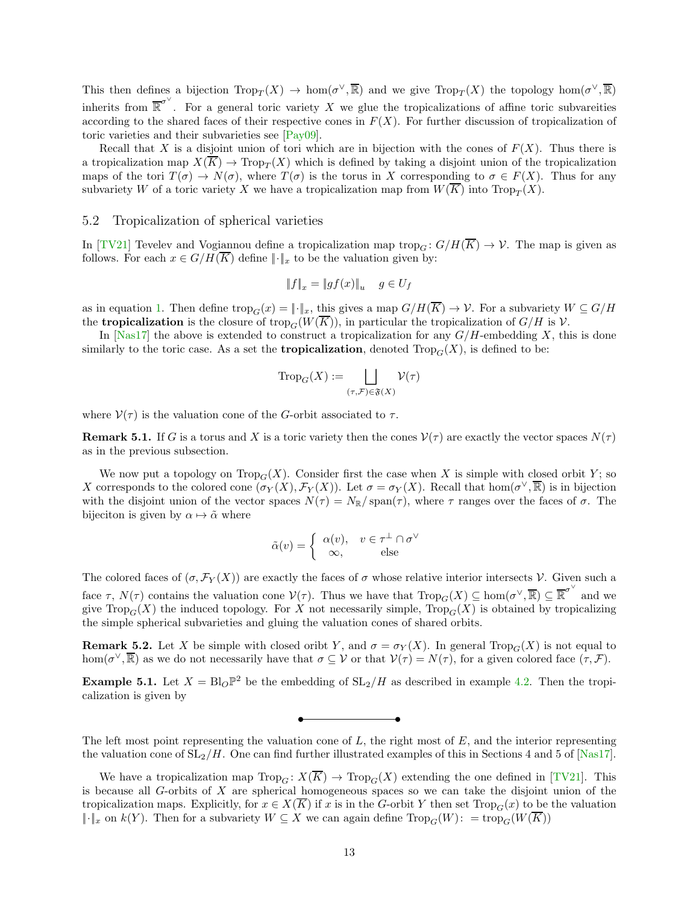This then defines a bijection  $\text{Top}_T(X) \to \text{hom}(\sigma^{\vee}, \overline{\mathbb{R}})$  and we give  $\text{Top}_T(X)$  the topology  $\text{hom}(\sigma^{\vee}, \overline{\mathbb{R}})$ inherits from  $\overline{\mathbb{R}}^{\sigma^{\vee}}$ . For a general toric variety X we glue the tropicalizations of affine toric subvareities according to the shared faces of their respective cones in  $F(X)$ . For further discussion of tropicalization of toric varieties and their subvarieties see [\[Pay09\]](#page-18-0).

Recall that X is a disjoint union of tori which are in bijection with the cones of  $F(X)$ . Thus there is a tropicalization map  $X(K) \to \text{Top}_T(X)$  which is defined by taking a disjoint union of the tropicalization maps of the tori  $T(\sigma) \to N(\sigma)$ , where  $T(\sigma)$  is the torus in X corresponding to  $\sigma \in F(X)$ . Thus for any subvariety W of a toric variety X we have a tropicalization map from  $W(K)$  into  $\text{Top}_{T}(X)$ .

# 5.2 Tropicalization of spherical varieties

In [\[TV21](#page-18-1)] Tevelev and Vogiannou define a tropicalization map trop<sub>G</sub>:  $G/H(\overline{K}) \to V$ . The map is given as follows. For each  $x \in G/H(\overline{K})$  define  $\lVert \cdot \rVert_x$  to be the valuation given by:

$$
\|f\|_x = \|gf(x)\|_u \quad g \in U_f
$$

as in equation [1.](#page-6-1) Then define  $\text{trop}_G(x) = ||\cdot||_x$ , this gives a map  $G/H(\overline{K}) \to V$ . For a subvariety  $W \subseteq G/H$ the **tropicalization** is the closure of trop<sub>G</sub>( $W(\overline{K})$ ), in particular the tropicalization of  $G/H$  is  $V$ .

In [\[Nas17\]](#page-17-1) the above is extended to construct a tropicalization for any  $G/H$ -embedding X, this is done similarly to the toric case. As a set the **tropicalization**, denoted  $Trop_G(X)$ , is defined to be:

$$
\operatorname{Trop}_G(X) := \bigsqcup_{(\tau, \mathcal{F}) \in \mathfrak{F}(X)} \mathcal{V}(\tau)
$$

where  $V(\tau)$  is the valuation cone of the G-orbit associated to  $\tau$ .

**Remark 5.1.** If G is a torus and X is a toric variety then the cones  $V(\tau)$  are exactly the vector spaces  $N(\tau)$ as in the previous subsection.

We now put a topology on  $\text{Top}_G(X)$ . Consider first the case when X is simple with closed orbit Y; so X corresponds to the colored cone  $(\sigma_Y(X), \mathcal{F}_Y(X))$ . Let  $\sigma = \sigma_Y(X)$ . Recall that  $hom(\sigma^{\vee}, \overline{\mathbb{R}})$  is in bijection with the disjoint union of the vector spaces  $N(\tau) = N_{\mathbb{R}}/ \text{span}(\tau)$ , where  $\tau$  ranges over the faces of  $\sigma$ . The bijeciton is given by  $\alpha \mapsto \tilde{\alpha}$  where

$$
\tilde{\alpha}(v) = \begin{cases} \alpha(v), & v \in \tau^{\perp} \cap \sigma^{\vee} \\ \infty, & \text{else} \end{cases}
$$

The colored faces of  $(\sigma, \mathcal{F}_Y(X))$  are exactly the faces of  $\sigma$  whose relative interior intersects V. Given such a face  $\tau$ ,  $N(\tau)$  contains the valuation cone  $\mathcal{V}(\tau)$ . Thus we have that  $\text{Top}_G(X) \subseteq \text{hom}(\sigma^{\vee}, \overline{\mathbb{R}}) \subseteq \overline{\mathbb{R}}^{\sigma^{\vee}}$  and we give  $\text{Trop}_G(X)$  the induced topology. For X not necessarily simple,  $\text{Trop}_G(X)$  is obtained by tropicalizing the simple spherical subvarieties and gluing the valuation cones of shared orbits.

**Remark 5.2.** Let X be simple with closed oribt Y, and  $\sigma = \sigma_Y(X)$ . In general Trop<sub>G</sub>(X) is not equal to hom $(\sigma^{\vee}, \overline{\mathbb{R}})$  as we do not necessarily have that  $\sigma \subseteq \mathcal{V}$  or that  $\mathcal{V}(\tau) = N(\tau)$ , for a given colored face  $(\tau, \mathcal{F})$ .

**Example 5.1.** Let  $X = Bl<sub>O</sub>\mathbb{P}^2$  be the embedding of  $SL_2/H$  as described in example [4.2.](#page-10-1) Then the tropicalization is given by



The left most point representing the valuation cone of  $L$ , the right most of  $E$ , and the interior representing the valuation cone of  $SL_2/H$ . One can find further illustrated examples of this in Sections 4 and 5 of [\[Nas17\]](#page-17-1).

We have a tropicalization map  $\text{Trop}_G: X(\overline{K}) \to \text{Top}_G(X)$  extending the one defined in [\[TV21](#page-18-1)]. This is because all G-orbits of X are spherical homogeneous spaces so we can take the disjoint union of the tropicalization maps. Explicitly, for  $x \in X(\overline{K})$  if x is in the G-orbit Y then set  $\text{Trop}_G(x)$  to be the valuation  $\lVert \cdot \rVert_x$  on  $k(Y)$ . Then for a subvariety  $W \subseteq X$  we can again define  $\text{Trop}_G(W)$ : = trop $_G(W(\overline{K}))$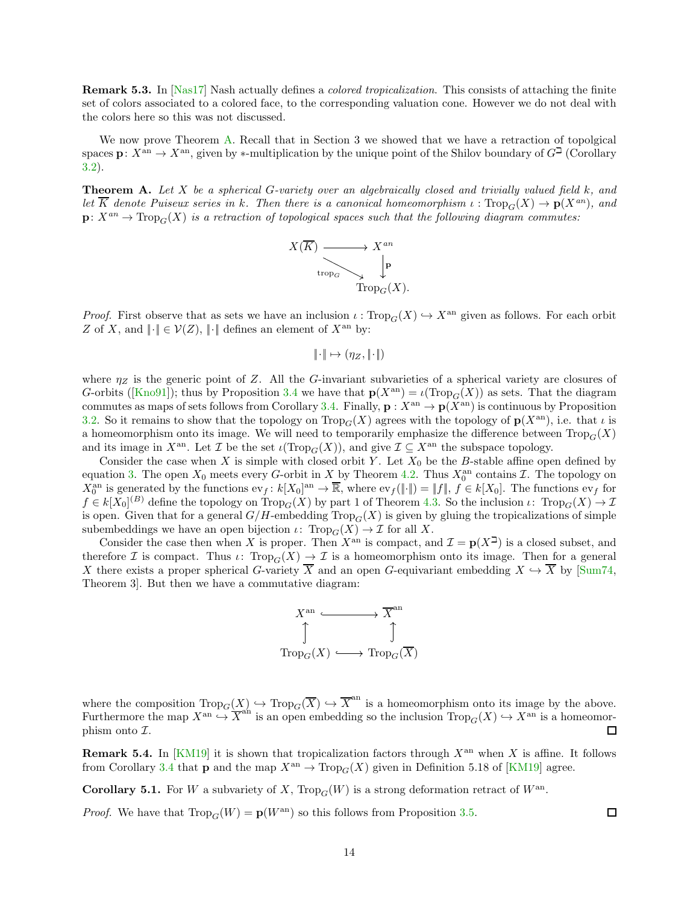Remark 5.3. In [\[Nas17\]](#page-17-1) Nash actually defines a *colored tropicalization*. This consists of attaching the finite set of colors associated to a colored face, to the corresponding valuation cone. However we do not deal with the colors here so this was not discussed.

We now prove Theorem [A.](#page-0-0) Recall that in Section 3 we showed that we have a retraction of topolgical spaces  $\mathbf{p}: X^{\text{an}} \to X^{\text{an}}$ , given by  $*$ -multiplication by the unique point of the Shilov boundary of  $G^{\square}$  (Corollary [3.2\)](#page-5-2).

<span id="page-13-0"></span>Theorem A. *Let* X *be a spherical* G*-variety over an algebraically closed and trivially valued field* k*, and let*  $\overline{K}$  *denote Puiseux series in* k. Then there is a canonical homeomorphism  $\iota$  : Trop<sub> $G(X) \to \mathbf{p}(X^{an})$ , and</sub>  $\mathbf{p}: X^{an} \to \text{Top}_G(X)$  *is a retraction of topological spaces such that the following diagram commutes:* 



*Proof.* First observe that as sets we have an inclusion  $\iota : \text{Trop}_G(X) \hookrightarrow X^\text{an}$  given as follows. For each orbit Z of X, and  $\|\cdot\| \in V(Z)$ ,  $\|\cdot\|$  defines an element of  $X^{\text{an}}$  by:

$$
\|\cdot\| \mapsto (\eta_Z, \|\cdot\|)
$$

where  $\eta_Z$  is the generic point of Z. All the G-invariant subvarieties of a spherical variety are closures of G-orbits ([\[Kno91](#page-17-0)]); thus by Proposition [3.4](#page-5-1) we have that  $p(X^{an}) = \iota(\text{Top}_G(X))$  as sets. That the diagram commutes as maps of sets follows from Corollary [3.4.](#page-7-1) Finally,  $p: X^{an} \to p(X^{an})$  is continuous by Proposition [3.2.](#page-4-0) So it remains to show that the topology on  $\text{Top}_G(X)$  agrees with the topology of  $p(X^{\text{an}})$ , i.e. that  $\iota$  is a homeomorphism onto its image. We will need to temporarily emphasize the difference between  $\text{Top}_G(X)$ and its image in  $X^{\text{an}}$ . Let  $\mathcal I$  be the set  $\iota(\text{Top}_G(X))$ , and give  $\mathcal I \subseteq X^{\text{an}}$  the subspace topology.

Consider the case when X is simple with closed orbit Y. Let  $X_0$  be the B-stable affine open defined by equation [3.](#page-9-0) The open  $X_0$  meets every G-orbit in  $X$  by Theorem [4.2.](#page-10-0) Thus  $X_0^{\text{an}}$  contains  $\mathcal{I}$ . The topology on  $X_0^{\text{an}}$  is generated by the functions  $\operatorname{ev}_f: k[X_0]^{\text{an}} \to \overline{\mathbb{R}}$ , where  $\operatorname{ev}_f(\|\cdot\|) = \|f\|, f \in k[X_0]$ . The functions  $\operatorname{ev}_f$  for  $f \in k[X_0]^{(B)}$  define the topology on  $\text{Top}_G(X)$  by part 1 of Theorem [4.3.](#page-10-2) So the inclusion  $\iota$ :  $\text{Top}_G(X) \to \mathcal{I}$ is open. Given that for a general  $G/H$ -embedding  $\text{Top}_G(X)$  is given by gluing the tropicalizations of simple subembeddings we have an open bijection  $\iota: \text{Trop}_G(X) \to \mathcal{I}$  for all X.

Consider the case then when X is proper. Then  $X^{\text{an}}$  is compact, and  $\mathcal{I} = \mathbf{p}(X^{\beth})$  is a closed subset, and therefore I is compact. Thus  $\iota: \text{Trop}_G(X) \to \mathcal{I}$  is a homeomorphism onto its image. Then for a general X there exists a proper spherical G-variety  $\overline{X}$  and an open G-equivariant embedding  $X \hookrightarrow \overline{X}$  by [\[Sum74](#page-18-4), Theorem 3]. But then we have a commutative diagram:



where the composition  $\text{Trop}_G(\underline{X}) \to \text{Top}_G(\overline{X}) \to \overline{X}^{an}$  is a homeomorphism onto its image by the above. Furthermore the map  $X^{\text{an}} \hookrightarrow \overline{X}^{\text{an}}$  is an open embedding so the inclusion  $\text{Top}_G(X) \hookrightarrow X^{\text{an}}$  is a homeomorphism onto  $\mathcal{I}.$  $\Box$ 

**Remark 5.4.** In [\[KM19](#page-17-2)] it is shown that tropicalization factors through  $X^{an}$  when X is affine. It follows from Corollary [3.4](#page-7-1) that **p** and the map  $X^{\text{an}} \to \text{Top}_G(X)$  given in Definition 5.18 of [\[KM19\]](#page-17-2) agree.

**Corollary 5.1.** For W a subvariety of X,  $\text{Top}_G(W)$  is a strong deformation retract of  $W^{\text{an}}$ .

*Proof.* We have that  $\text{Top}_G(W) = \mathbf{p}(W^{\text{an}})$  so this follows from Proposition [3.5.](#page-8-2)

 $\Box$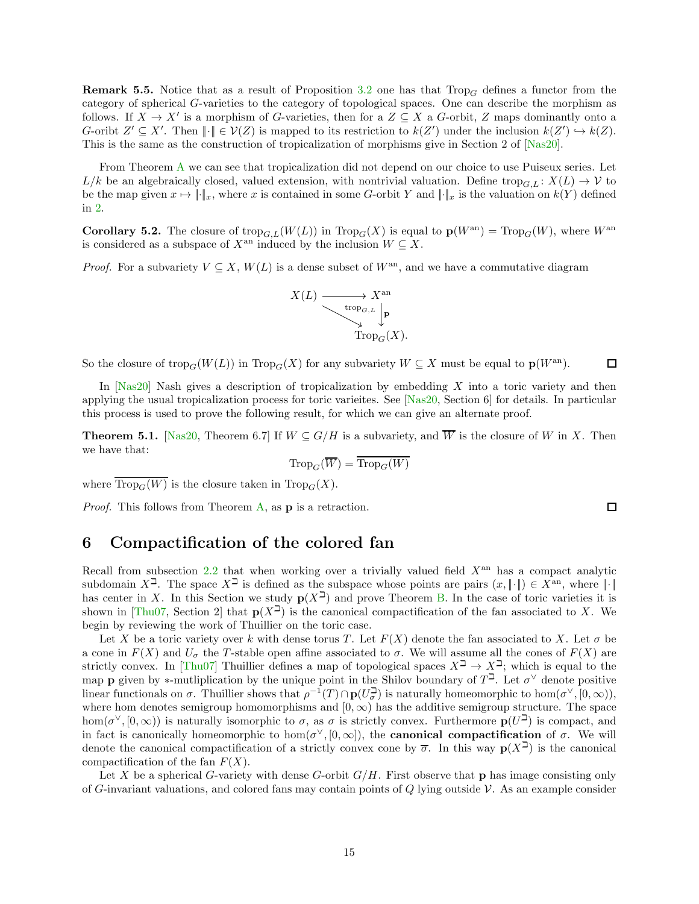**Remark 5.5.** Notice that as a result of Proposition [3.2](#page-4-0) one has that Trop<sub>G</sub> defines a functor from the category of spherical G-varieties to the category of topological spaces. One can describe the morphism as follows. If  $X \to X'$  is a morphism of G-varieties, then for a  $Z \subseteq X$  a G-orbit, Z maps dominantly onto a G-oribt  $Z' \subseteq X'$ . Then  $\|\cdot\| \in \mathcal{V}(Z)$  is mapped to its restriction to  $k(Z')$  under the inclusion  $k(Z') \hookrightarrow k(Z)$ . This is the same as the construction of tropicalization of morphisms give in Section 2 of [\[Nas20](#page-17-8)].

From Theorem [A](#page-13-0) we can see that tropicalization did not depend on our choice to use Puiseux series. Let  $L/k$  be an algebraically closed, valued extension, with nontrivial valuation. Define trop $_{G,L}: X(L) \to V$  to be the map given  $x \mapsto ||\cdot||_x$ , where x is contained in some G-orbit Y and  $||\cdot||_x$  is the valuation on  $k(Y)$  defined in [2.](#page-7-2)

**Corollary 5.2.** The closure of  $\text{trop}_{G,L}(W(L))$  in  $\text{Top}_G(X)$  is equal to  $\mathbf{p}(W^{\text{an}}) = \text{Top}_G(W)$ , where  $W^{\text{an}}$ is considered as a subspace of  $X^{\text{an}}$  induced by the inclusion  $W \subseteq X$ .

*Proof.* For a subvariety  $V \subseteq X$ ,  $W(L)$  is a dense subset of  $W^{\text{an}}$ , and we have a commutative diagram



So the closure of  $\text{trop}_G(W(L))$  in  $\text{Top}_G(X)$  for any subvariety  $W \subseteq X$  must be equal to  $\mathbf{p}(W^{\text{an}})$ .  $\Box$ 

In  $[Nas20]$  Nash gives a description of tropicalization by embedding X into a toric variety and then applying the usual tropicalization process for toric varieties. See  $[Nas20, Section 6]$  for details. In particular this process is used to prove the following result, for which we can give an alternate proof.

**Theorem 5.1.** [\[Nas20,](#page-17-8) Theorem 6.7] If  $W \subseteq G/H$  is a subvariety, and  $\overline{W}$  is the closure of W in X. Then we have that:

$$
\operatorname{Trop}_G(\overline{W}) = \overline{\operatorname{Trop}_G(W)}
$$

where  $\overline{\text{Top}_G(W)}$  is the closure taken in  $\text{Top}_G(X)$ .

*Proof.* This follows from Theorem [A,](#page-13-0) as **p** is a retraction.

# <span id="page-14-0"></span>6 Compactification of the colored fan

Recall from subsection [2.2](#page-2-1) that when working over a trivially valued field  $X<sup>an</sup>$  has a compact analytic subdomain  $X^{\beth}$ . The space  $X^{\beth}$  is defined as the subspace whose points are pairs  $(x, \|\cdot\|) \in X^{an}$ , where  $\|\cdot\|$ has center in X. In this Section we study  $p(X^{\mathsf{I}})$  and prove Theorem [B.](#page-1-1) In the case of toric varieties it is shown in [\[Thu07,](#page-18-2) Section 2] that  $p(X^{\rightharpoonup})$  is the canonical compactification of the fan associated to X. We begin by reviewing the work of Thuillier on the toric case.

Let X be a toric variety over k with dense torus T. Let  $F(X)$  denote the fan associated to X. Let  $\sigma$  be a cone in  $F(X)$  and  $U_{\sigma}$  the T-stable open affine associated to  $\sigma$ . We will assume all the cones of  $F(X)$  are strictly convex. In [\[Thu07](#page-18-2)] Thuillier defines a map of topological spaces  $X^{\beth} \to X^{\beth}$ ; which is equal to the map **p** given by \*-mutliplication by the unique point in the Shilov boundary of  $T^{\beth}$ . Let  $\sigma^{\vee}$  denote positive linear functionals on  $\sigma$ . Thuillier shows that  $\rho^{-1}(T) \cap \mathbf{p}(U^{\square}_{\sigma})$  is naturally homeomorphic to hom $(\sigma^{\vee}, [0, \infty)),$ where hom denotes semigroup homomorphisms and  $[0, \infty)$  has the additive semigroup structure. The space hom $(\sigma^{\vee}, [0, \infty))$  is naturally isomorphic to  $\sigma$ , as  $\sigma$  is strictly convex. Furthermore  $\mathbf{p}(U^{\perp})$  is compact, and in fact is canonically homeomorphic to hom $(\sigma^{\vee}, [0, \infty])$ , the **canonical compactification** of  $\sigma$ . We will denote the canonical compactification of a strictly convex cone by  $\bar{\sigma}$ . In this way  $p(X^{\bar{a}})$  is the canonical compactification of the fan  $F(X)$ .

Let X be a spherical G-variety with dense G-orbit  $G/H$ . First observe that **p** has image consisting only of G-invariant valuations, and colored fans may contain points of Q lying outside  $\mathcal V$ . As an example consider

 $\Box$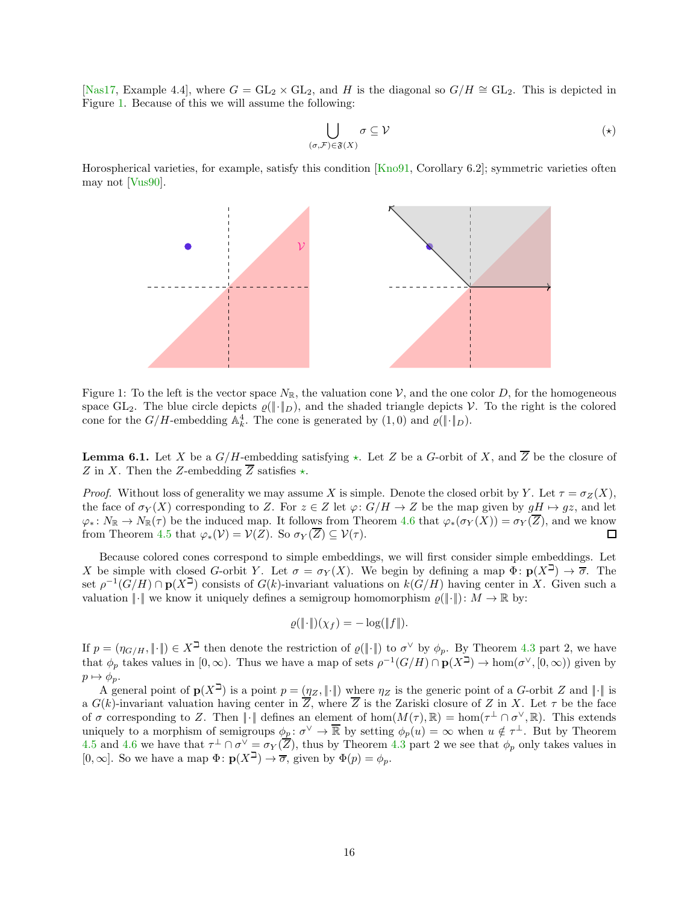[\[Nas17](#page-17-1), Example 4.4], where  $G = GL_2 \times GL_2$ , and H is the diagonal so  $G/H \cong GL_2$ . This is depicted in Figure [1.](#page-15-0) Because of this we will assume the following:

<span id="page-15-1"></span>
$$
\bigcup_{(\sigma,\mathcal{F}) \in \mathfrak{F}(X)} \sigma \subseteq \mathcal{V} \tag{\star}
$$

Horospherical varieties, for example, satisfy this condition [\[Kno91,](#page-17-0) Corollary 6.2]; symmetric varieties often may not [\[Vus90](#page-18-5)].



<span id="page-15-0"></span>Figure 1: To the left is the vector space  $N_{\mathbb{R}}$ , the valuation cone V, and the one color D, for the homogeneous space GL<sub>2</sub>. The blue circle depicts  $\varrho(\|\cdot\|_D)$ , and the shaded triangle depicts V. To the right is the colored cone for the  $G/H$ -embedding  $\mathbb{A}_k^4$ . The cone is generated by  $(1,0)$  and  $\varrho(\|\cdot\|_D)$ .

**Lemma 6.1.** Let X be a  $G/H$ -embedding satisfying  $\star$ . Let Z be a G-orbit of X, and  $\overline{Z}$  be the closure of Z in X. Then the Z-embedding  $\overline{Z}$  satisfies  $\star$ .

*Proof.* Without loss of generality we may assume X is simple. Denote the closed orbit by Y. Let  $\tau = \sigma_Z(X)$ , the face of  $\sigma_Y(X)$  corresponding to Z. For  $z \in Z$  let  $\varphi: G/H \to Z$  be the map given by  $gH \mapsto gz$ , and let  $\varphi_*\colon N_{\mathbb{R}} \to N_{\mathbb{R}}(\tau)$  be the induced map. It follows from Theorem [4.6](#page-11-1) that  $\varphi_*(\sigma_Y(X)) = \sigma_Y(\overline{Z})$ , and we know from Theorem [4.5](#page-11-2) that  $\varphi_*(\mathcal{V}) = \mathcal{V}(Z)$ . So  $\sigma_Y(\overline{Z}) \subseteq \mathcal{V}(\tau)$ . □

Because colored cones correspond to simple embeddings, we will first consider simple embeddings. Let X be simple with closed G-orbit Y. Let  $\sigma = \sigma_Y(X)$ . We begin by defining a map  $\Phi: \mathbf{p}(X^{\mathbb{Z}}) \to \overline{\sigma}$ . The set  $\rho^{-1}(G/H) \cap \mathbf{p}(X^{\mathbb{Z}})$  consists of  $G(k)$ -invariant valuations on  $k(G/H)$  having center in X. Given such a valuation  $\|\cdot\|$  we know it uniquely defines a semigroup homomorphism  $\rho(\|\cdot\|): M \to \mathbb{R}$  by:

$$
\varrho(\|\cdot\|)(\chi_f) = -\log(\|f\|).
$$

If  $p = (\eta_{G/H}, \|\cdot\|) \in X^{\beth}$  then denote the restriction of  $\varrho(\|\cdot\|)$  to  $\sigma^{\vee}$  by  $\phi_p$ . By Theorem [4.3](#page-10-2) part 2, we have that  $\phi_p$  takes values in  $[0,\infty)$ . Thus we have a map of sets  $\rho^{-1}(G/H) \cap \mathbf{p}(X^{\mathbb{Z}}) \to \hom(\sigma^{\vee},[0,\infty))$  given by  $p \mapsto \phi_p$ .

A general point of  $p(X^{\square})$  is a point  $p = (\eta_Z, \|\cdot\|)$  where  $\eta_Z$  is the generic point of a G-orbit Z and  $\|\cdot\|$  is a  $G(k)$ -invariant valuation having center in  $\overline{Z}$ , where  $\overline{Z}$  is the Zariski closure of Z in X. Let  $\tau$  be the face of  $\sigma$  corresponding to Z. Then || defines an element of  $\hom(M(\tau), \mathbb{R}) = \hom(\tau^{\perp} \cap \sigma^{\vee}, \mathbb{R})$ . This extends uniquely to a morphism of semigroups  $\phi_p : \sigma^{\vee} \to \overline{\mathbb{R}}$  by setting  $\phi_p(u) = \infty$  when  $u \notin \tau^{\perp}$ . But by Theorem [4.5](#page-11-2) and [4.6](#page-11-1) we have that  $\tau^{\perp} \cap \sigma^{\vee} = \sigma_Y(\overline{Z})$ , thus by Theorem [4.3](#page-10-2) part 2 we see that  $\phi_p$  only takes values in  $[0, \infty]$ . So we have a map  $\Phi : \mathbf{p}(X^{\mathbb{Z}}) \to \overline{\sigma}$ , given by  $\Phi(p) = \phi_p$ .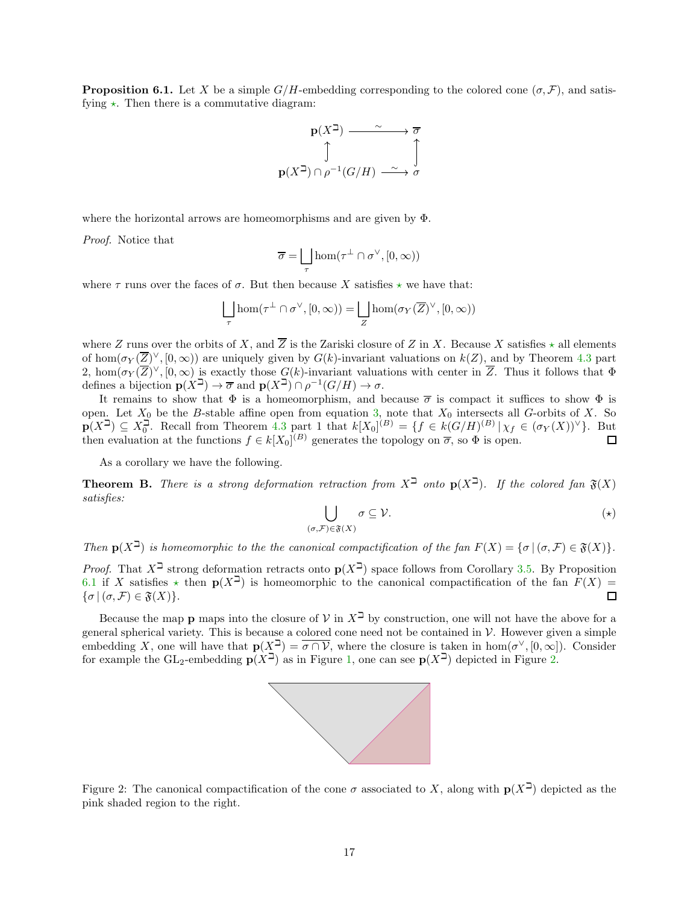<span id="page-16-0"></span>**Proposition 6.1.** Let X be a simple  $G/H$ -embedding corresponding to the colored cone  $(\sigma, \mathcal{F})$ , and satisfying  $\star$ . Then there is a commutative diagram:



where the horizontal arrows are homeomorphisms and are given by Φ.

*Proof.* Notice that

$$
\overline{\sigma} = \bigsqcup_{\tau} \hom(\tau^{\perp} \cap \sigma^{\vee}, [0, \infty))
$$

where  $\tau$  runs over the faces of  $\sigma$ . But then because X satisfies  $\star$  we have that:

$$
\bigsqcup_{\tau} \hom(\tau^{\perp} \cap \sigma^{\vee}, [0, \infty)) = \bigsqcup_{Z} \hom(\sigma_{Y}(\overline{Z})^{\vee}, [0, \infty))
$$

where Z runs over the orbits of X, and  $\overline{Z}$  is the Zariski closure of Z in X. Because X satisfies  $\star$  all elements of hom $(\sigma_Y(\overline{Z})^{\vee},[0,\infty))$  are uniquely given by  $G(k)$ -invariant valuations on  $k(Z)$ , and by Theorem [4.3](#page-10-2) part 2, hom $(\sigma_Y(\overline{Z})^{\vee},[0,\infty))$  is exactly those  $G(k)$ -invariant valuations with center in  $\overline{Z}$ . Thus it follows that  $\Phi$ defines a bijection  $p(X^{\beth}) \to \overline{\sigma}$  and  $p(X^{\beth}) \cap \rho^{-1}(G/H) \to \sigma$ .

It remains to show that  $\Phi$  is a homeomorphism, and because  $\overline{\sigma}$  is compact it suffices to show  $\Phi$  is open. Let  $X_0$  be the B-stable affine open from equation [3,](#page-9-0) note that  $X_0$  intersects all G-orbits of X. So  $p(X^{\beth}) \subseteq X_0^{\beth}$ . Recall from Theorem [4.3](#page-10-2) part 1 that  $k[X_0]^{(B)} = \{f \in k(G/H)^{(B)} | X_f \in (\sigma_Y(X))^{\vee}\}$ . But then evaluation at the functions  $f \in k[X_0]^{(B)}$  generates the topology on  $\overline{\sigma}$ , so  $\Phi$  is open.  $\Box$ 

As a corollary we have the following.

**Theorem B.** *There is a strong deformation retraction from*  $X^{\square}$  *onto*  $p(X^{\square})$ *. If the colored fan*  $\mathfrak{F}(X)$ *satisfies:*

$$
\bigcup_{(\sigma,\mathcal{F}) \in \mathfrak{F}(X)} \sigma \subseteq \mathcal{V}.\tag{(*)}
$$

*Then*  $p(X^{\exists})$  *is homeomorphic to the the canonical compactification of the fan*  $F(X) = \{ \sigma \mid (\sigma, \mathcal{F}) \in \mathfrak{F}(X) \}.$ 

*Proof.* That  $X^{\beth}$  strong deformation retracts onto  $p(X^{\beth})$  space follows from Corollary [3.5.](#page-8-2) By Proposition [6.1](#page-16-0) if X satisfies  $\star$  then  $p(X^{\square})$  is homeomorphic to the canonical compactification of the fan  $F(X)$  =  $\{\sigma \mid (\sigma, \mathcal{F}) \in \mathfrak{F}(X)\}.$  $\Box$ 

Because the map **p** maps into the closure of V in  $X^{\mathsf{I}}$  by construction, one will not have the above for a general spherical variety. This is because a colored cone need not be contained in  $\mathcal V$ . However given a simple embedding X, one will have that  $p(X^{\beth}) = \overline{\sigma \cap \mathcal{V}}$ , where the closure is taken in hom $(\sigma^{\vee}, [0, \infty])$ . Consider for example the GL<sub>2</sub>-embedding  $p(X^{\square})$  as in Figure [1,](#page-15-0) one can see  $p(X^{\square})$  depicted in Figure [2.](#page-16-1)



<span id="page-16-1"></span>Figure 2: The canonical compactification of the cone  $\sigma$  associated to X, along with  $p(X^{\rightharpoonup})$  depicted as the pink shaded region to the right.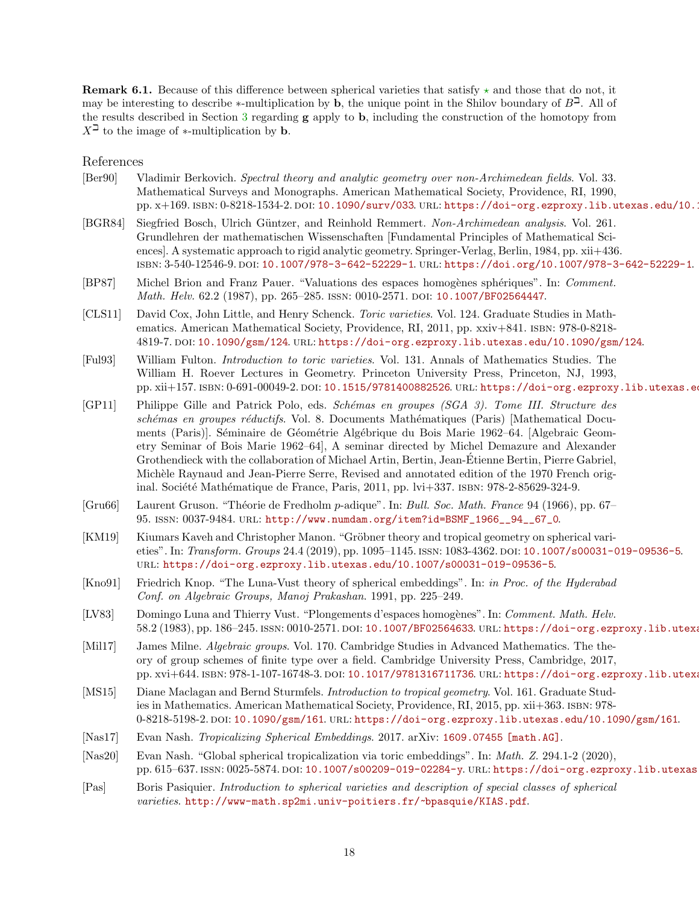**Remark 6.1.** Because of this difference between spherical varieties that satisfy  $\star$  and those that do not, it may be interesting to describe \*-multiplication by **b**, the unique point in the Shilov boundary of  $B^{\perp}$ . All of the results described in Section [3](#page-3-0) regarding g apply to b, including the construction of the homotopy from  $X^{\beth}$  to the image of ∗-multiplication by **b**.

<span id="page-17-3"></span>References

- [Ber90] Vladimir Berkovich. *Spectral theory and analytic geometry over non-Archimedean fields*. Vol. 33. Mathematical Surveys and Monographs. American Mathematical Society, Providence, RI, 1990, pp. x+169. ISBN: 0-8218-1534-2. DOI: [10.1090/surv/033](https://doi.org/10.1090/surv/033). URL: https://doi-org.ezproxy.lib.utexas.edu/10.
- <span id="page-17-6"></span>[BGR84] Siegfried Bosch, Ulrich G¨untzer, and Reinhold Remmert. *Non-Archimedean analysis*. Vol. 261. Grundlehren der mathematischen Wissenschaften [Fundamental Principles of Mathematical Sciences]. A systematic approach to rigid analytic geometry. Springer-Verlag, Berlin, 1984, pp. xii+436. isbn: 3-540-12546-9. doi: [10.1007/978-3-642-52229-1](https://doi.org/10.1007/978-3-642-52229-1). url: <https://doi.org/10.1007/978-3-642-52229-1>.
- [BP87] Michel Brion and Franz Pauer. "Valuations des espaces homogènes sphériques". In: *Comment. Math. Helv.* 62.2 (1987), pp. 265–285. ISSN: 0010-2571. DOI: [10.1007/BF02564447](https://doi.org/10.1007/BF02564447).
- [CLS11] David Cox, John Little, and Henry Schenck. *Toric varieties*. Vol. 124. Graduate Studies in Mathematics. American Mathematical Society, Providence, RI, 2011, pp. xxiv+841. ISBN: 978-0-8218-4819-7. doi: [10.1090/gsm/124](https://doi.org/10.1090/gsm/124). url: <https://doi-org.ezproxy.lib.utexas.edu/10.1090/gsm/124>.
- [Ful93] William Fulton. *Introduction to toric varieties*. Vol. 131. Annals of Mathematics Studies. The William H. Roever Lectures in Geometry. Princeton University Press, Princeton, NJ, 1993, pp. xii+157. ISBN: 0-691-00049-2. DOI: [10.1515/9781400882526](https://doi.org/10.1515/9781400882526). URL: <https://doi-org.ezproxy.lib.utexas.edu/10.1515/9781400882526>.
- <span id="page-17-7"></span>[GP11] Philippe Gille and Patrick Polo, eds. *Sch´emas en groupes (SGA 3). Tome III. Structure des* schémas en groupes réductifs. Vol. 8. Documents Mathématiques (Paris) [Mathematical Documents (Paris)]. Séminaire de Géométrie Algébrique du Bois Marie 1962–64. [Algebraic Geometry Seminar of Bois Marie 1962–64], A seminar directed by Michel Demazure and Alexander Grothendieck with the collaboration of Michael Artin, Bertin, Jean-Etienne Bertin, Pierre Gabriel, ´ Michèle Raynaud and Jean-Pierre Serre, Revised and annotated edition of the 1970 French original. Société Mathématique de France, Paris, 2011, pp. lvi+337. ISBN: 978-2-85629-324-9.
- <span id="page-17-4"></span>[Gru66] Laurent Gruson. "Th´eorie de Fredholm p-adique". In: *Bull. Soc. Math. France* 94 (1966), pp. 67– 95. issn: 0037-9484. url: [http://www.numdam.org/item?id=BSMF\\_1966\\_\\_94\\_\\_67\\_0](http://www.numdam.org/item?id=BSMF_1966__94__67_0).
- <span id="page-17-2"></span>[KM19] Kiumars Kaveh and Christopher Manon. "Gröbner theory and tropical geometry on spherical varieties". In: *Transform. Groups* 24.4 (2019), pp. 1095–1145. issn: 1083-4362. doi: [10.1007/s00031-019-09536-5](https://doi.org/10.1007/s00031-019-09536-5). url: <https://doi-org.ezproxy.lib.utexas.edu/10.1007/s00031-019-09536-5>.
- <span id="page-17-0"></span>[Kno91] Friedrich Knop. "The Luna-Vust theory of spherical embeddings". In: *in Proc. of the Hyderabad Conf. on Algebraic Groups, Manoj Prakashan*. 1991, pp. 225–249.
- <span id="page-17-5"></span>[LV83] Domingo Luna and Thierry Vust. "Plongements d'espaces homog`enes". In: *Comment. Math. Helv.* 58.2 (1983), pp. 186–245. ISSN: 0010-2571. DOI: [10.1007/BF02564633](https://doi.org/10.1007/BF02564633). URL: https://doi-org.ezproxy.lib.utexas.
- [Mil17] James Milne. *Algebraic groups*. Vol. 170. Cambridge Studies in Advanced Mathematics. The theory of group schemes of finite type over a field. Cambridge University Press, Cambridge, 2017, pp. xvi+644. ISBN: 978-1-107-16748-3. DOI: [10.1017/9781316711736](https://doi.org/10.1017/9781316711736). URL: https://doi-org.ezproxy.lib.utex.
- [MS15] Diane Maclagan and Bernd Sturmfels. *Introduction to tropical geometry*. Vol. 161. Graduate Studies in Mathematics. American Mathematical Society, Providence, RI, 2015, pp. xii+363. isbn: 978- 0-8218-5198-2. doi: [10.1090/gsm/161](https://doi.org/10.1090/gsm/161). url: <https://doi-org.ezproxy.lib.utexas.edu/10.1090/gsm/161>.
- <span id="page-17-8"></span><span id="page-17-1"></span>[Nas17] Evan Nash. *Tropicalizing Spherical Embeddings*. 2017. arXiv: [1609.07455 \[math.AG\]](https://arxiv.org/abs/1609.07455).
- [Nas20] Evan Nash. "Global spherical tropicalization via toric embeddings". In: *Math. Z.* 294.1-2 (2020), pp. 615–637. ISSN: 0025-5874. DOI: [10.1007/s00209-019-02284-y](https://doi.org/10.1007/s00209-019-02284-y). URL: https://doi-org.ezproxy.lib.utexas
- [Pas] Boris Pasiquier. *Introduction to spherical varieties and description of special classes of spherical varieties*. <http://www-math.sp2mi.univ-poitiers.fr/~bpasquie/KIAS.pdf>.